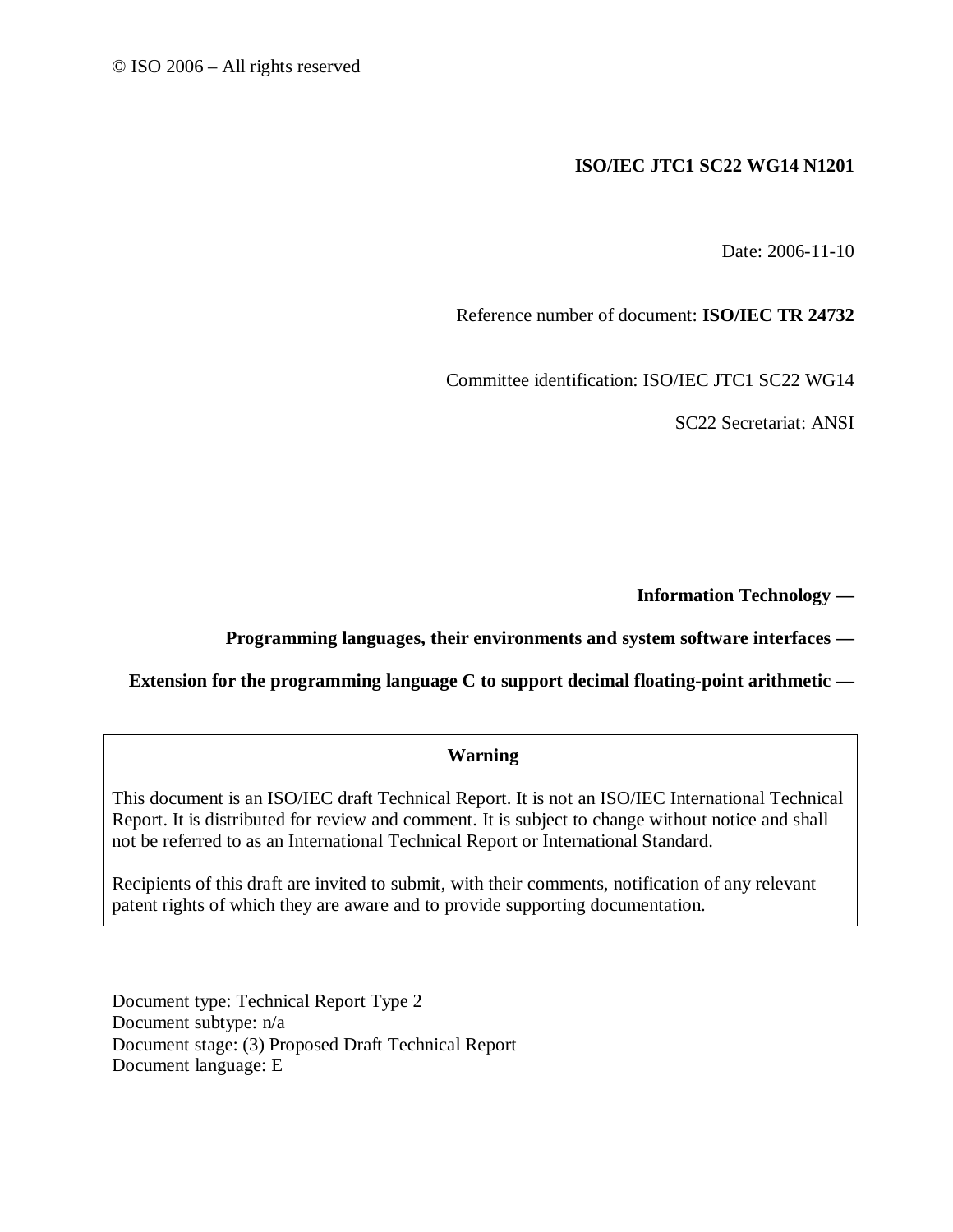## **ISO/IEC JTC1 SC22 WG14 N1201**

Date: 2006-11-10

Reference number of document: **ISO/IEC TR 24732** 

Committee identification: ISO/IEC JTC1 SC22 WG14

SC22 Secretariat: ANSI

**Information Technology —** 

### **Programming languages, their environments and system software interfaces —**

#### **Extension for the programming language C to support decimal floating-point arithmetic —**

#### **Warning**

This document is an ISO/IEC draft Technical Report. It is not an ISO/IEC International Technical Report. It is distributed for review and comment. It is subject to change without notice and shall not be referred to as an International Technical Report or International Standard.

Recipients of this draft are invited to submit, with their comments, notification of any relevant patent rights of which they are aware and to provide supporting documentation.

Document type: Technical Report Type 2 Document subtype: n/a Document stage: (3) Proposed Draft Technical Report Document language: E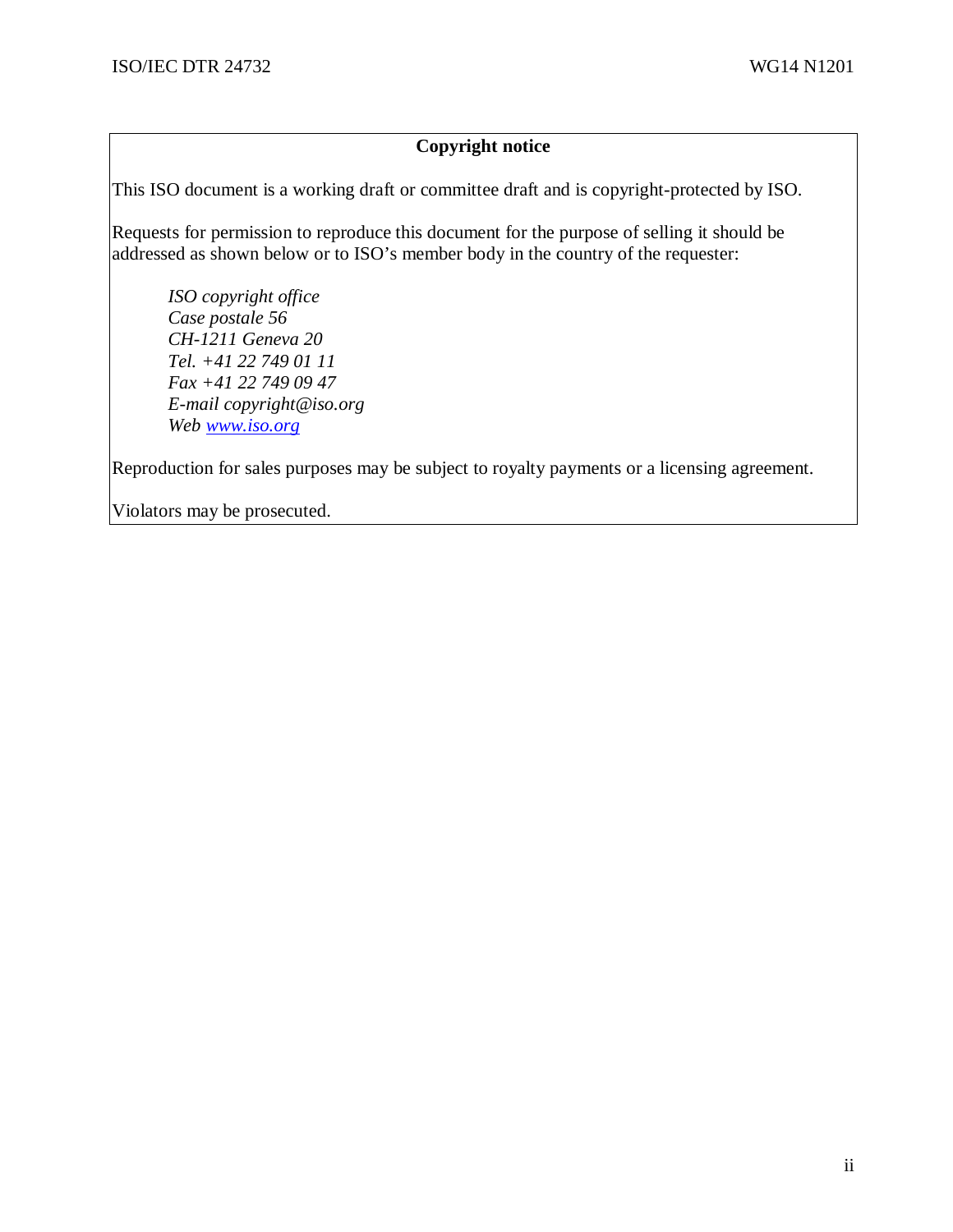## **Copyright notice**

This ISO document is a working draft or committee draft and is copyright-protected by ISO.

Requests for permission to reproduce this document for the purpose of selling it should be addressed as shown below or to ISO's member body in the country of the requester:

*ISO copyright office Case postale 56 CH-1211 Geneva 20 Tel. +41 22 749 01 11 Fax +41 22 749 09 47 E-mail copyright@iso.org Web www.iso.org*

Reproduction for sales purposes may be subject to royalty payments or a licensing agreement.

Violators may be prosecuted.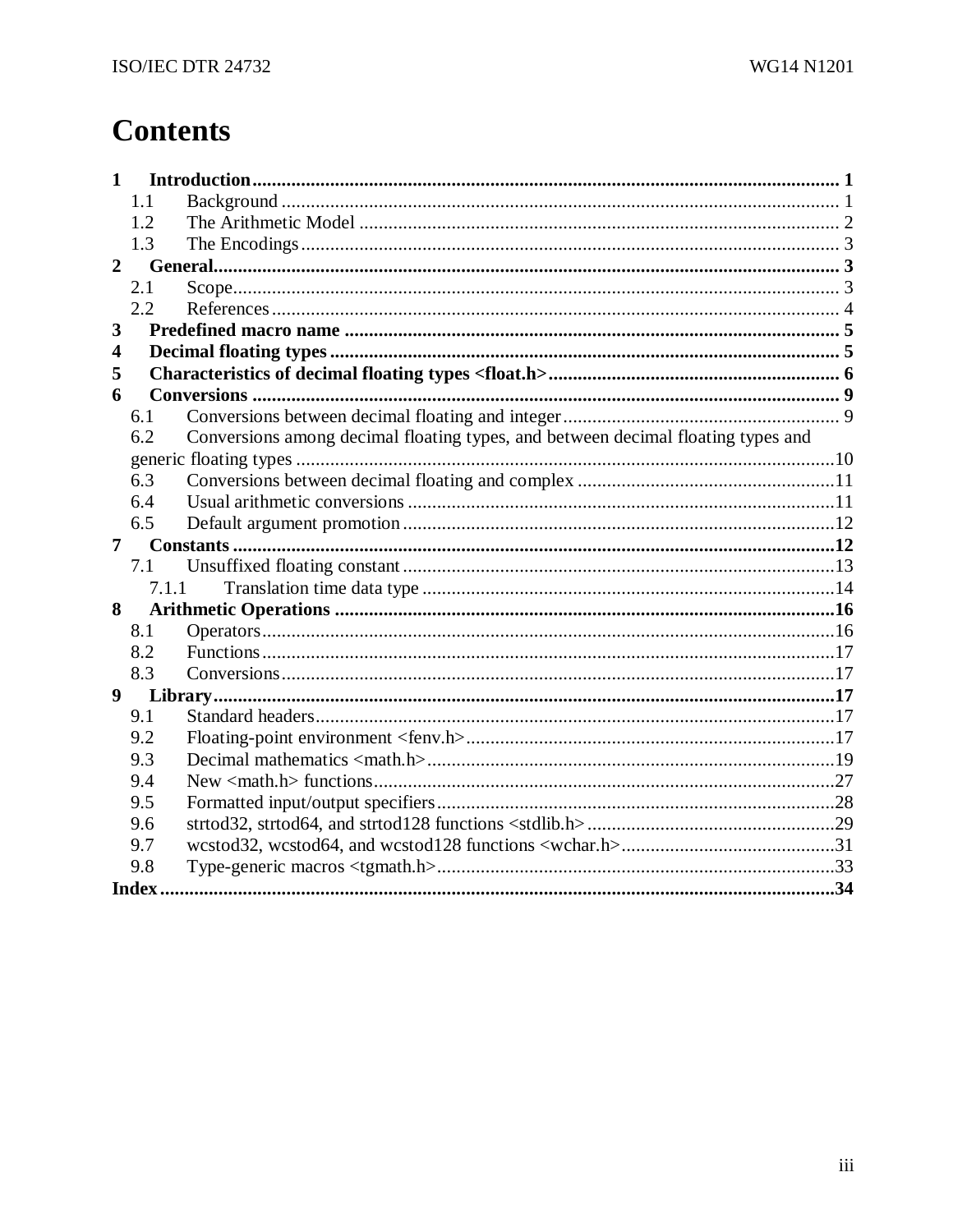# **Contents**

| 1              |       |                                                                                  |  |
|----------------|-------|----------------------------------------------------------------------------------|--|
|                | 1.1   |                                                                                  |  |
|                | 1.2   |                                                                                  |  |
|                | 1.3   |                                                                                  |  |
| $\overline{2}$ |       |                                                                                  |  |
|                | 2.1   |                                                                                  |  |
|                | 2.2   |                                                                                  |  |
| 3              |       |                                                                                  |  |
| 4              |       |                                                                                  |  |
| 5              |       |                                                                                  |  |
| 6              |       |                                                                                  |  |
|                | 6.1   |                                                                                  |  |
|                | 6.2   | Conversions among decimal floating types, and between decimal floating types and |  |
|                |       |                                                                                  |  |
|                | 6.3   |                                                                                  |  |
|                | 6.4   |                                                                                  |  |
|                | 6.5   |                                                                                  |  |
| 7              |       |                                                                                  |  |
|                | 7.1   |                                                                                  |  |
|                | 7.1.1 |                                                                                  |  |
| 8              |       |                                                                                  |  |
|                | 8.1   |                                                                                  |  |
|                | 8.2   |                                                                                  |  |
|                | 8.3   |                                                                                  |  |
| 9              |       |                                                                                  |  |
|                | 9.1   |                                                                                  |  |
|                | 9.2   |                                                                                  |  |
|                | 9.3   |                                                                                  |  |
|                | 9.4   |                                                                                  |  |
|                | 9.5   |                                                                                  |  |
|                | 9.6   |                                                                                  |  |
|                | 9.7   |                                                                                  |  |
|                | 9.8   |                                                                                  |  |
|                | Index |                                                                                  |  |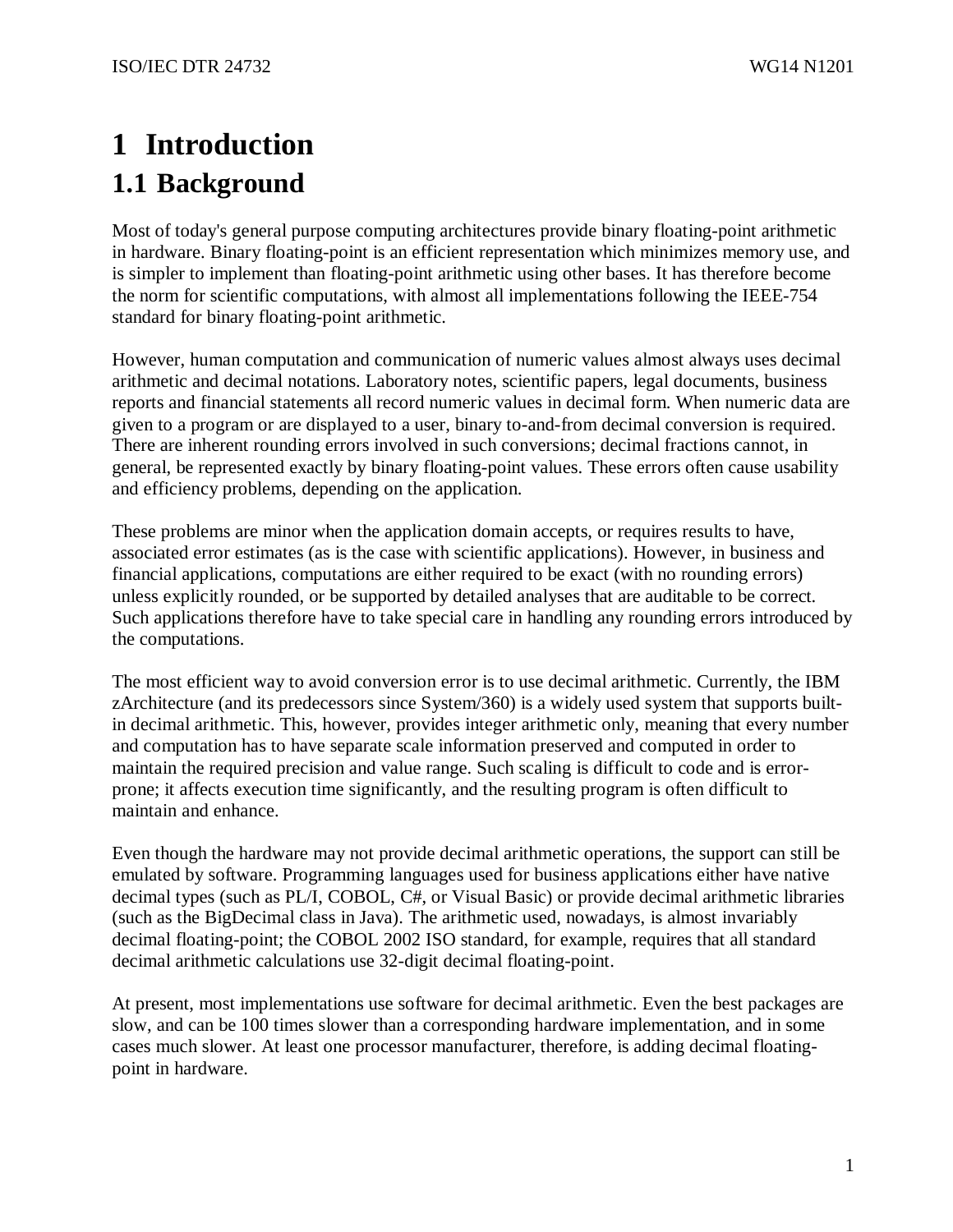# **1 Introduction 1.1 Background**

Most of today's general purpose computing architectures provide binary floating-point arithmetic in hardware. Binary floating-point is an efficient representation which minimizes memory use, and is simpler to implement than floating-point arithmetic using other bases. It has therefore become the norm for scientific computations, with almost all implementations following the IEEE-754 standard for binary floating-point arithmetic.

However, human computation and communication of numeric values almost always uses decimal arithmetic and decimal notations. Laboratory notes, scientific papers, legal documents, business reports and financial statements all record numeric values in decimal form. When numeric data are given to a program or are displayed to a user, binary to-and-from decimal conversion is required. There are inherent rounding errors involved in such conversions; decimal fractions cannot, in general, be represented exactly by binary floating-point values. These errors often cause usability and efficiency problems, depending on the application.

These problems are minor when the application domain accepts, or requires results to have, associated error estimates (as is the case with scientific applications). However, in business and financial applications, computations are either required to be exact (with no rounding errors) unless explicitly rounded, or be supported by detailed analyses that are auditable to be correct. Such applications therefore have to take special care in handling any rounding errors introduced by the computations.

The most efficient way to avoid conversion error is to use decimal arithmetic. Currently, the IBM zArchitecture (and its predecessors since System/360) is a widely used system that supports builtin decimal arithmetic. This, however, provides integer arithmetic only, meaning that every number and computation has to have separate scale information preserved and computed in order to maintain the required precision and value range. Such scaling is difficult to code and is errorprone; it affects execution time significantly, and the resulting program is often difficult to maintain and enhance.

Even though the hardware may not provide decimal arithmetic operations, the support can still be emulated by software. Programming languages used for business applications either have native decimal types (such as PL/I, COBOL, C#, or Visual Basic) or provide decimal arithmetic libraries (such as the BigDecimal class in Java). The arithmetic used, nowadays, is almost invariably decimal floating-point; the COBOL 2002 ISO standard, for example, requires that all standard decimal arithmetic calculations use 32-digit decimal floating-point.

At present, most implementations use software for decimal arithmetic. Even the best packages are slow, and can be 100 times slower than a corresponding hardware implementation, and in some cases much slower. At least one processor manufacturer, therefore, is adding decimal floatingpoint in hardware.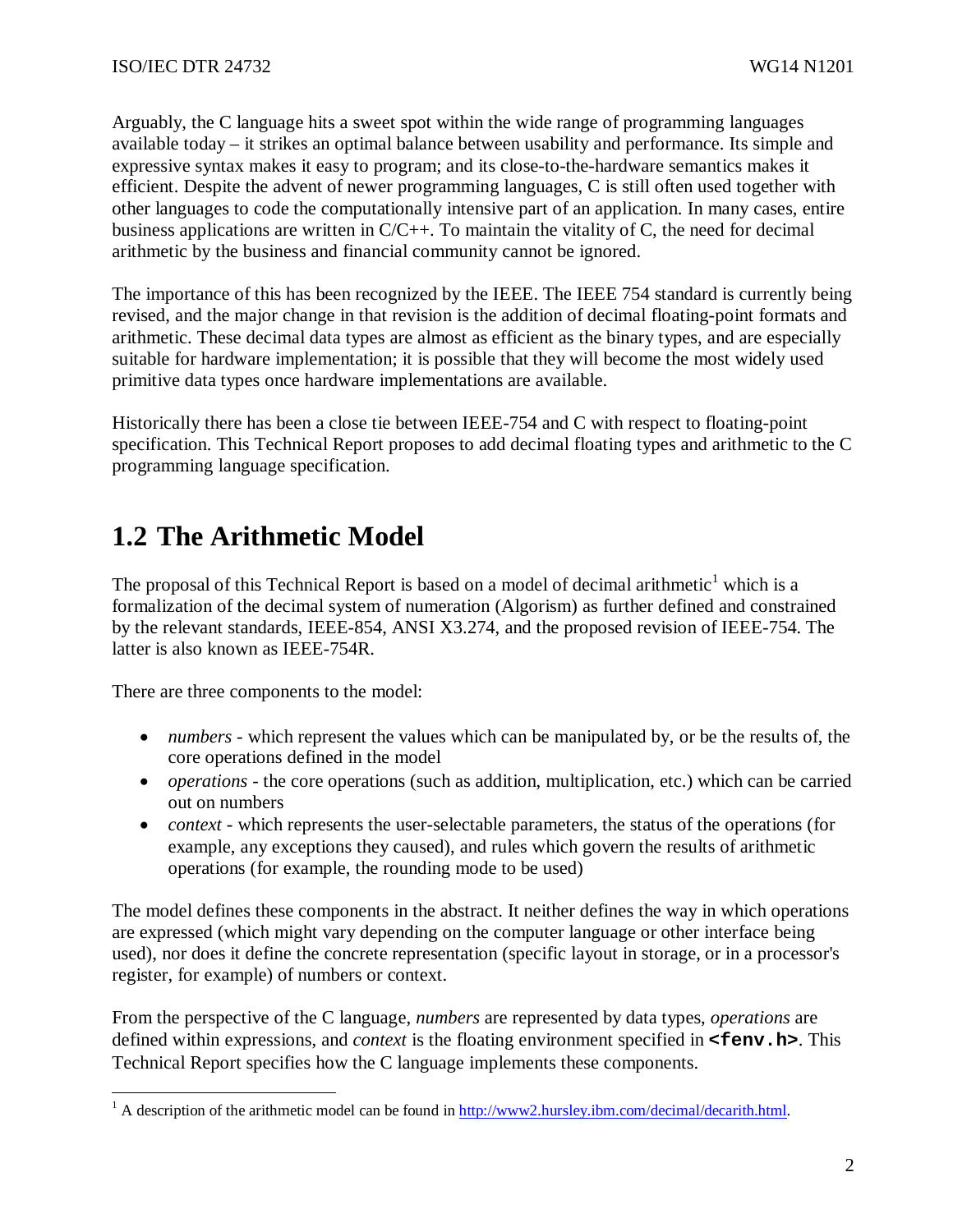Arguably, the C language hits a sweet spot within the wide range of programming languages available today – it strikes an optimal balance between usability and performance. Its simple and expressive syntax makes it easy to program; and its close-to-the-hardware semantics makes it efficient. Despite the advent of newer programming languages, C is still often used together with other languages to code the computationally intensive part of an application. In many cases, entire business applications are written in C/C++. To maintain the vitality of C, the need for decimal arithmetic by the business and financial community cannot be ignored.

The importance of this has been recognized by the IEEE. The IEEE 754 standard is currently being revised, and the major change in that revision is the addition of decimal floating-point formats and arithmetic. These decimal data types are almost as efficient as the binary types, and are especially suitable for hardware implementation; it is possible that they will become the most widely used primitive data types once hardware implementations are available.

Historically there has been a close tie between IEEE-754 and C with respect to floating-point specification. This Technical Report proposes to add decimal floating types and arithmetic to the C programming language specification.

# **1.2 The Arithmetic Model**

The proposal of this Technical Report is based on a model of decimal arithmetic<sup>1</sup> which is a formalization of the decimal system of numeration (Algorism) as further defined and constrained by the relevant standards, IEEE-854, ANSI X3.274, and the proposed revision of IEEE-754. The latter is also known as IEEE-754R.

There are three components to the model:

- *numbers* which represent the values which can be manipulated by, or be the results of, the core operations defined in the model
- *operations* the core operations (such as addition, multiplication, etc.) which can be carried out on numbers
- *context* which represents the user-selectable parameters, the status of the operations (for example, any exceptions they caused), and rules which govern the results of arithmetic operations (for example, the rounding mode to be used)

The model defines these components in the abstract. It neither defines the way in which operations are expressed (which might vary depending on the computer language or other interface being used), nor does it define the concrete representation (specific layout in storage, or in a processor's register, for example) of numbers or context.

From the perspective of the C language, *numbers* are represented by data types, *operations* are defined within expressions, and *context* is the floating environment specified in **<fenv.h>**. This Technical Report specifies how the C language implements these components.

<sup>&</sup>lt;sup>1</sup> A description of the arithmetic model can be found in http://www2.hursley.ibm.com/decimal/decarith.html.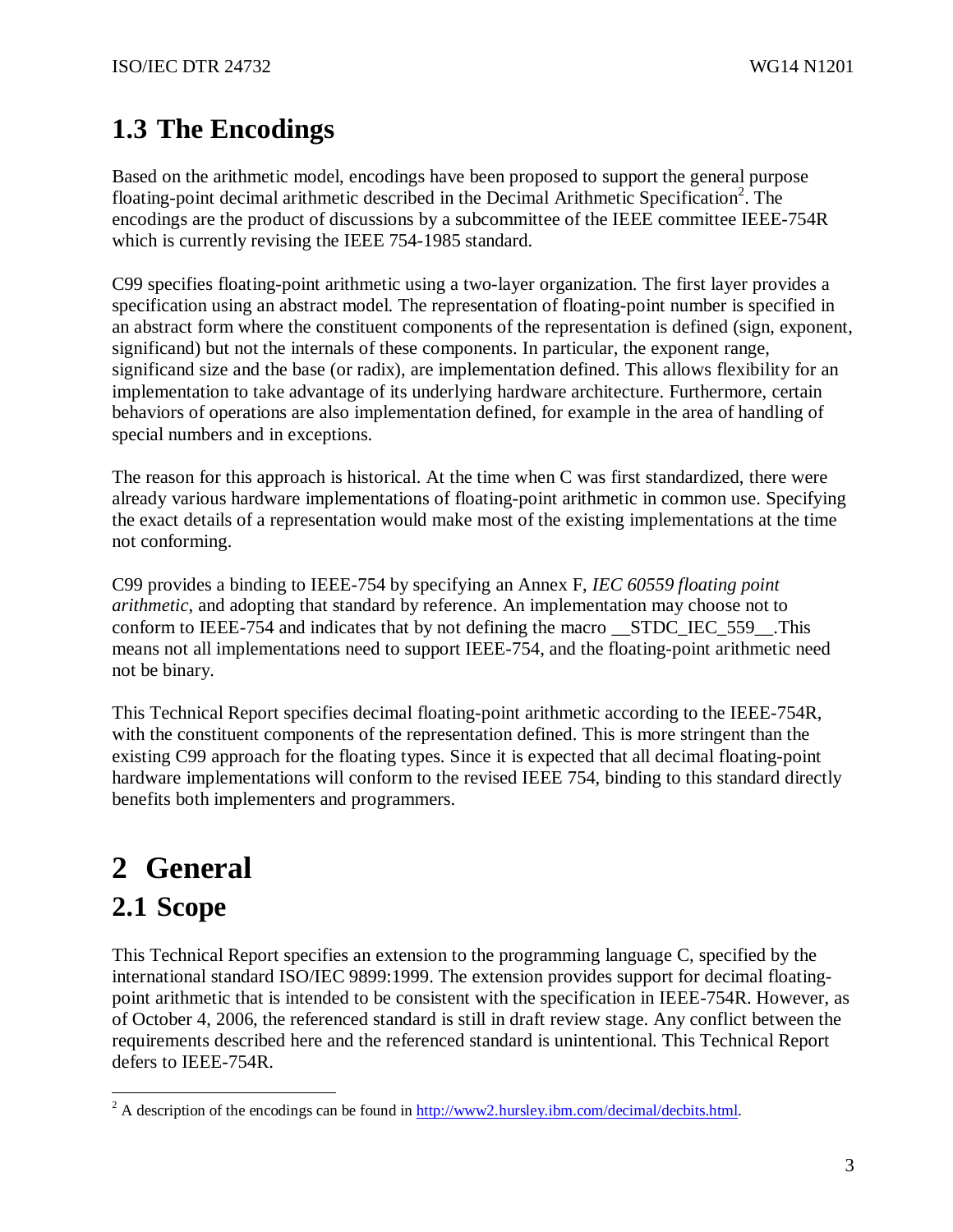# **1.3 The Encodings**

Based on the arithmetic model, encodings have been proposed to support the general purpose floating-point decimal arithmetic described in the Decimal Arithmetic Specification<sup>2</sup>. The encodings are the product of discussions by a subcommittee of the IEEE committee IEEE-754R which is currently revising the IEEE 754-1985 standard.

C99 specifies floating-point arithmetic using a two-layer organization. The first layer provides a specification using an abstract model. The representation of floating-point number is specified in an abstract form where the constituent components of the representation is defined (sign, exponent, significand) but not the internals of these components. In particular, the exponent range, significand size and the base (or radix), are implementation defined. This allows flexibility for an implementation to take advantage of its underlying hardware architecture. Furthermore, certain behaviors of operations are also implementation defined, for example in the area of handling of special numbers and in exceptions.

The reason for this approach is historical. At the time when C was first standardized, there were already various hardware implementations of floating-point arithmetic in common use. Specifying the exact details of a representation would make most of the existing implementations at the time not conforming.

C99 provides a binding to IEEE-754 by specifying an Annex F, *IEC 60559 floating point arithmetic*, and adopting that standard by reference. An implementation may choose not to conform to IEEE-754 and indicates that by not defining the macro \_\_STDC\_IEC\_559\_\_.This means not all implementations need to support IEEE-754, and the floating-point arithmetic need not be binary.

This Technical Report specifies decimal floating-point arithmetic according to the IEEE-754R, with the constituent components of the representation defined. This is more stringent than the existing C99 approach for the floating types. Since it is expected that all decimal floating-point hardware implementations will conform to the revised IEEE 754, binding to this standard directly benefits both implementers and programmers.

# **2 General**

# **2.1 Scope**

This Technical Report specifies an extension to the programming language C, specified by the international standard ISO/IEC 9899:1999. The extension provides support for decimal floatingpoint arithmetic that is intended to be consistent with the specification in IEEE-754R. However, as of October 4, 2006, the referenced standard is still in draft review stage. Any conflict between the requirements described here and the referenced standard is unintentional. This Technical Report defers to IEEE-754R.

 $\frac{2}{100}$  A description of the encodings can be found in http://www2.hursley.ibm.com/decimal/decbits.html.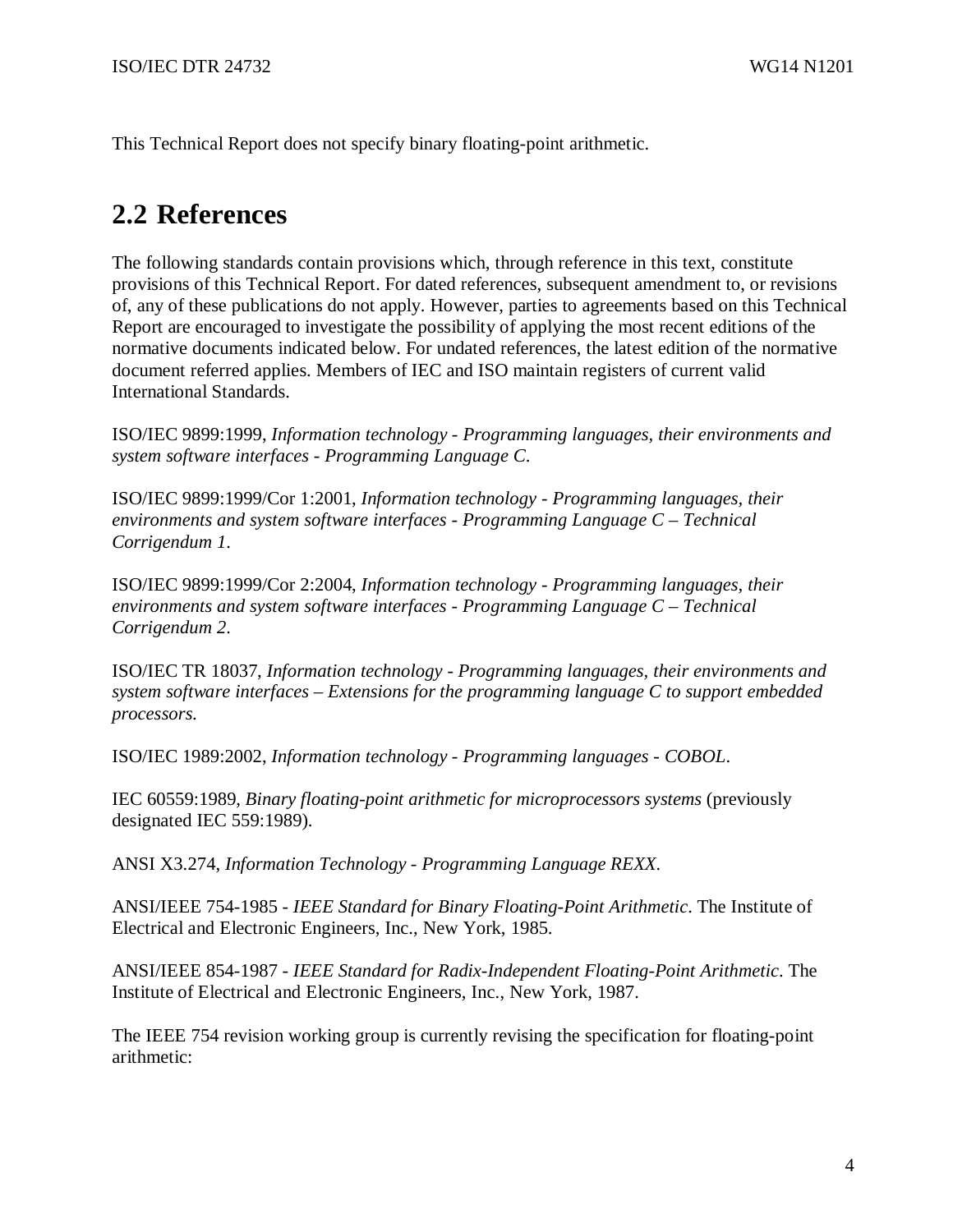This Technical Report does not specify binary floating-point arithmetic.

# **2.2 References**

The following standards contain provisions which, through reference in this text, constitute provisions of this Technical Report. For dated references, subsequent amendment to, or revisions of, any of these publications do not apply. However, parties to agreements based on this Technical Report are encouraged to investigate the possibility of applying the most recent editions of the normative documents indicated below. For undated references, the latest edition of the normative document referred applies. Members of IEC and ISO maintain registers of current valid International Standards.

ISO/IEC 9899:1999, *Information technology - Programming languages, their environments and system software interfaces - Programming Language C*.

ISO/IEC 9899:1999/Cor 1:2001, *Information technology - Programming languages, their environments and system software interfaces - Programming Language C – Technical Corrigendum 1*.

ISO/IEC 9899:1999/Cor 2:2004, *Information technology - Programming languages, their environments and system software interfaces - Programming Language C – Technical Corrigendum 2*.

ISO/IEC TR 18037, *Information technology - Programming languages, their environments and system software interfaces – Extensions for the programming language C to support embedded processors.*

ISO/IEC 1989:2002, *Information technology - Programming languages - COBOL*.

IEC 60559:1989, *Binary floating-point arithmetic for microprocessors systems* (previously designated IEC 559:1989).

ANSI X3.274, *Information Technology - Programming Language REXX.*

ANSI/IEEE 754-1985 - *IEEE Standard for Binary Floating-Point Arithmetic*. The Institute of Electrical and Electronic Engineers, Inc., New York, 1985.

ANSI/IEEE 854-1987 - *IEEE Standard for Radix-Independent Floating-Point Arithmetic*. The Institute of Electrical and Electronic Engineers, Inc., New York, 1987.

The IEEE 754 revision working group is currently revising the specification for floating-point arithmetic: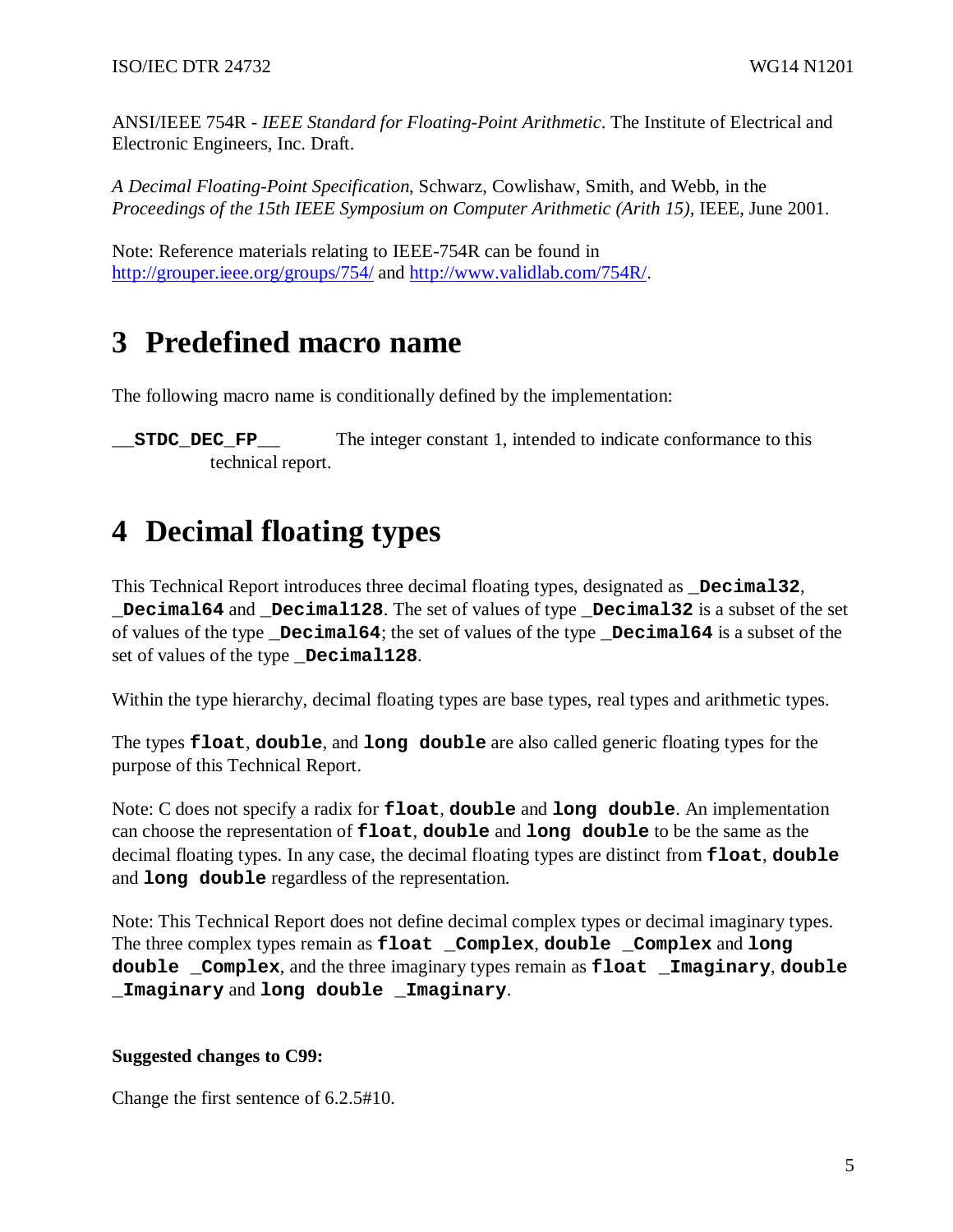ANSI/IEEE 754R - *IEEE Standard for Floating-Point Arithmetic*. The Institute of Electrical and Electronic Engineers, Inc. Draft.

*A Decimal Floating-Point Specification*, Schwarz, Cowlishaw, Smith, and Webb, in the *Proceedings of the 15th IEEE Symposium on Computer Arithmetic (Arith 15),* IEEE, June 2001.

Note: Reference materials relating to IEEE-754R can be found in http://grouper.ieee.org/groups/754/ and http://www.validlab.com/754R/.

# **3 Predefined macro name**

The following macro name is conditionally defined by the implementation:

**\_\_STDC\_DEC\_FP\_\_** The integer constant 1, intended to indicate conformance to this technical report.

# **4 Decimal floating types**

This Technical Report introduces three decimal floating types, designated as **Decimal32**, **Decimal64** and **Decimal128**. The set of values of type **Decimal32** is a subset of the set of values of the type **\_Decimal64**; the set of values of the type **\_Decimal64** is a subset of the set of values of the type **Decimal128**.

Within the type hierarchy, decimal floating types are base types, real types and arithmetic types.

The types **float**, **double**, and **long double** are also called generic floating types for the purpose of this Technical Report.

Note: C does not specify a radix for **float**, **double** and **long double**. An implementation can choose the representation of **float**, **double** and **long double** to be the same as the decimal floating types. In any case, the decimal floating types are distinct from **float**, **double** and **long double** regardless of the representation.

Note: This Technical Report does not define decimal complex types or decimal imaginary types. The three complex types remain as **float \_Complex**, **double \_Complex** and **long double \_Complex**, and the three imaginary types remain as **float \_Imaginary**, **double \_Imaginary** and **long double \_Imaginary**.

#### **Suggested changes to C99:**

Change the first sentence of 6.2.5#10.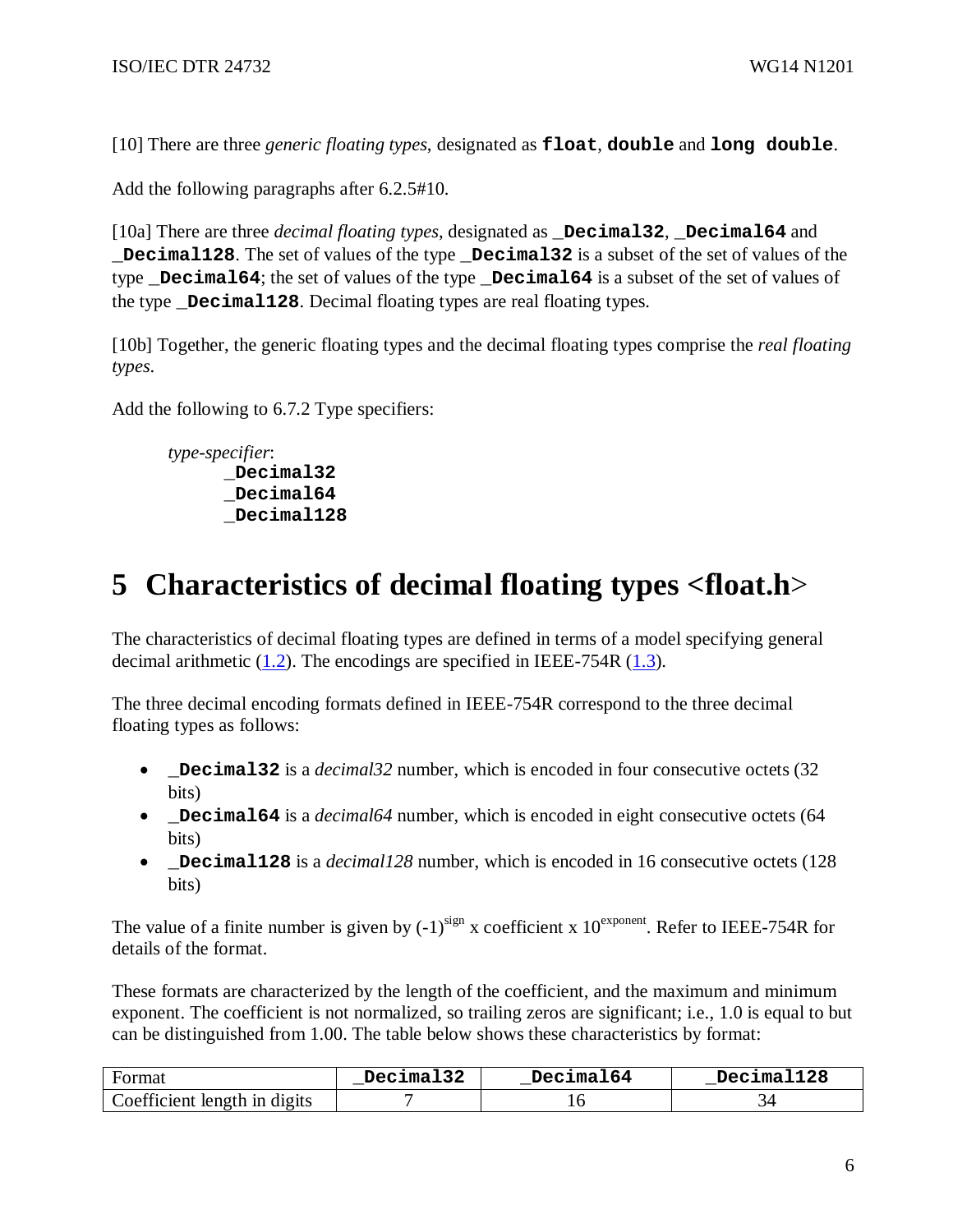[10] There are three *generic floating types*, designated as **float**, **double** and **long double**.

Add the following paragraphs after 6.2.5#10.

[10a] There are three *decimal floating types*, designated as **\_Decimal32**, **\_Decimal64** and **\_Decimal128**. The set of values of the type **\_Decimal32** is a subset of the set of values of the type **\_Decimal64**; the set of values of the type **\_Decimal64** is a subset of the set of values of the type **Decimal128**. Decimal floating types are real floating types.

[10b] Together, the generic floating types and the decimal floating types comprise the *real floating types*.

Add the following to 6.7.2 Type specifiers:

```
type-specifier: 
     _Decimal32 
      _Decimal64 
      _Decimal128
```
# **5 Characteristics of decimal floating types <float.h**>

The characteristics of decimal floating types are defined in terms of a model specifying general decimal arithmetic (1.2). The encodings are specified in IEEE-754R (1.3).

The three decimal encoding formats defined in IEEE-754R correspond to the three decimal floating types as follows:

- **\_Decimal32** is a *decimal32* number, which is encoded in four consecutive octets (32) bits)
- **\_Decimal64** is a *decimal64* number, which is encoded in eight consecutive octets (64 bits)
- **Decimal128** is a *decimal128* number, which is encoded in 16 consecutive octets (128) bits)

The value of a finite number is given by  $(-1)^{sign}$  x coefficient x  $10^{exponent}$ . Refer to IEEE-754R for details of the format.

These formats are characterized by the length of the coefficient, and the maximum and minimum exponent. The coefficient is not normalized, so trailing zeros are significant; i.e., 1.0 is equal to but can be distinguished from 1.00. The table below shows these characteristics by format:

| Format                                            | Decimal32 | Decimal64 | Decimal128 |
|---------------------------------------------------|-----------|-----------|------------|
| $\therefore$ oefficient length in digits $\qquad$ |           |           |            |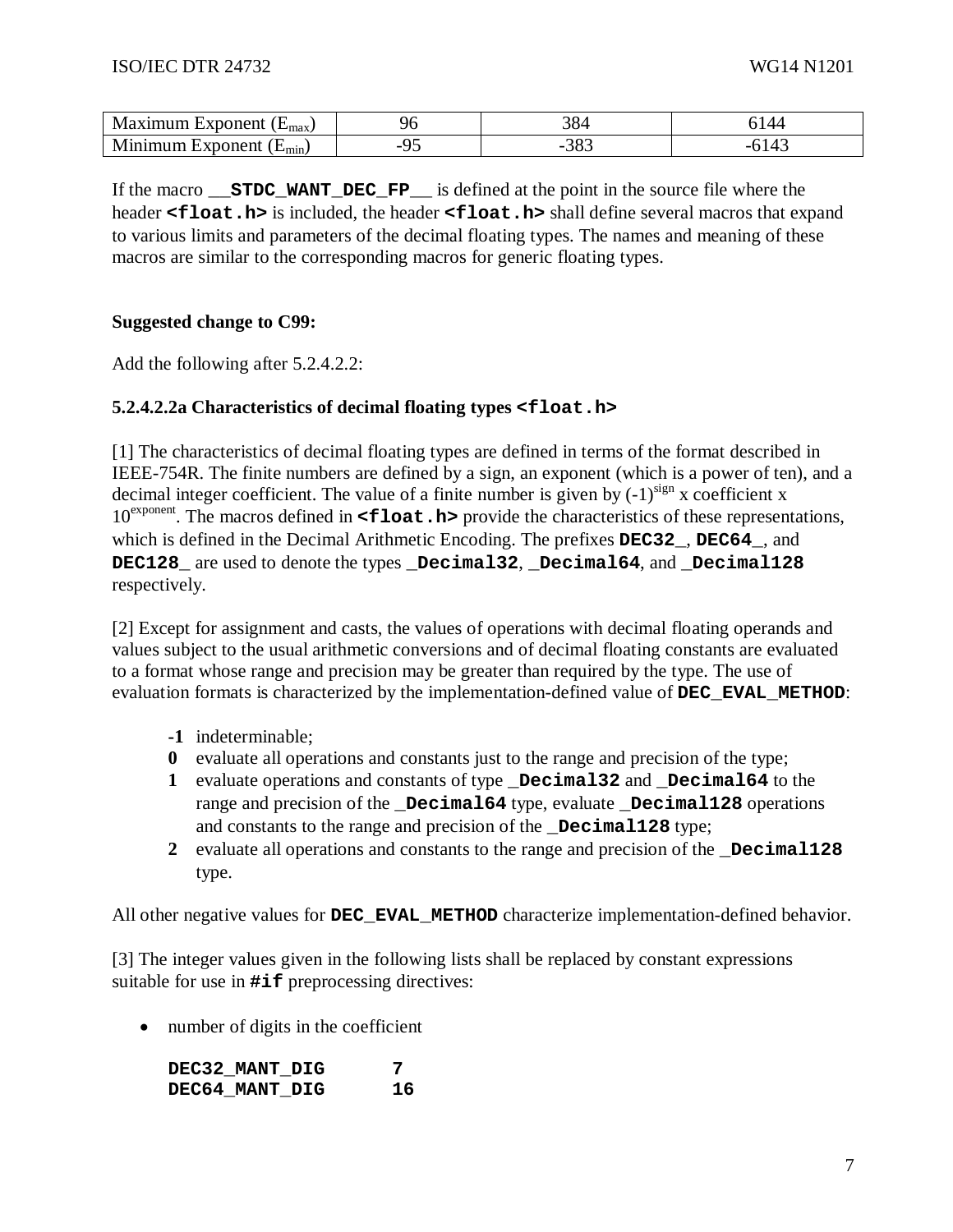| xponent!<br>.<br>IVI<br>.<br>.max سا | ◡                | າດ<br>904  |  |
|--------------------------------------|------------------|------------|--|
| xnonent<br>$N^r$<br>∟mın             | ገረ<br>- ~<br>. . | າດາ<br>ັບ~ |  |

If the macro **STDC WANT DEC FP** is defined at the point in the source file where the header **<float.h>** is included, the header **<float.h>** shall define several macros that expand to various limits and parameters of the decimal floating types. The names and meaning of these macros are similar to the corresponding macros for generic floating types.

### **Suggested change to C99:**

Add the following after 5.2.4.2.2:

### **5.2.4.2.2a Characteristics of decimal floating types <float.h>**

[1] The characteristics of decimal floating types are defined in terms of the format described in IEEE-754R. The finite numbers are defined by a sign, an exponent (which is a power of ten), and a decimal integer coefficient. The value of a finite number is given by  $(-1)^{sign}$  x coefficient x 10<sup>exponent</sup>. The macros defined in **<float.h>** provide the characteristics of these representations, which is defined in the Decimal Arithmetic Encoding. The prefixes **DEC32\_**, **DEC64\_**, and **DEC128\_** are used to denote the types **\_Decimal32**, **\_Decimal64**, and **\_Decimal128** respectively.

[2] Except for assignment and casts, the values of operations with decimal floating operands and values subject to the usual arithmetic conversions and of decimal floating constants are evaluated to a format whose range and precision may be greater than required by the type. The use of evaluation formats is characterized by the implementation-defined value of **DEC\_EVAL\_METHOD**:

- **-1** indeterminable;
- **0** evaluate all operations and constants just to the range and precision of the type;
- **1** evaluate operations and constants of type **\_Decimal32** and **\_Decimal64** to the range and precision of the **\_Decimal64** type, evaluate **\_Decimal128** operations and constants to the range and precision of the **\_Decimal128** type;
- 2 evaluate all operations and constants to the range and precision of the **Decimal128** type.

All other negative values for **DEC\_EVAL\_METHOD** characterize implementation-defined behavior.

[3] The integer values given in the following lists shall be replaced by constant expressions suitable for use in **#if** preprocessing directives:

• number of digits in the coefficient

DEC32 MANT DIG 7 **DEC64\_MANT\_DIG 16**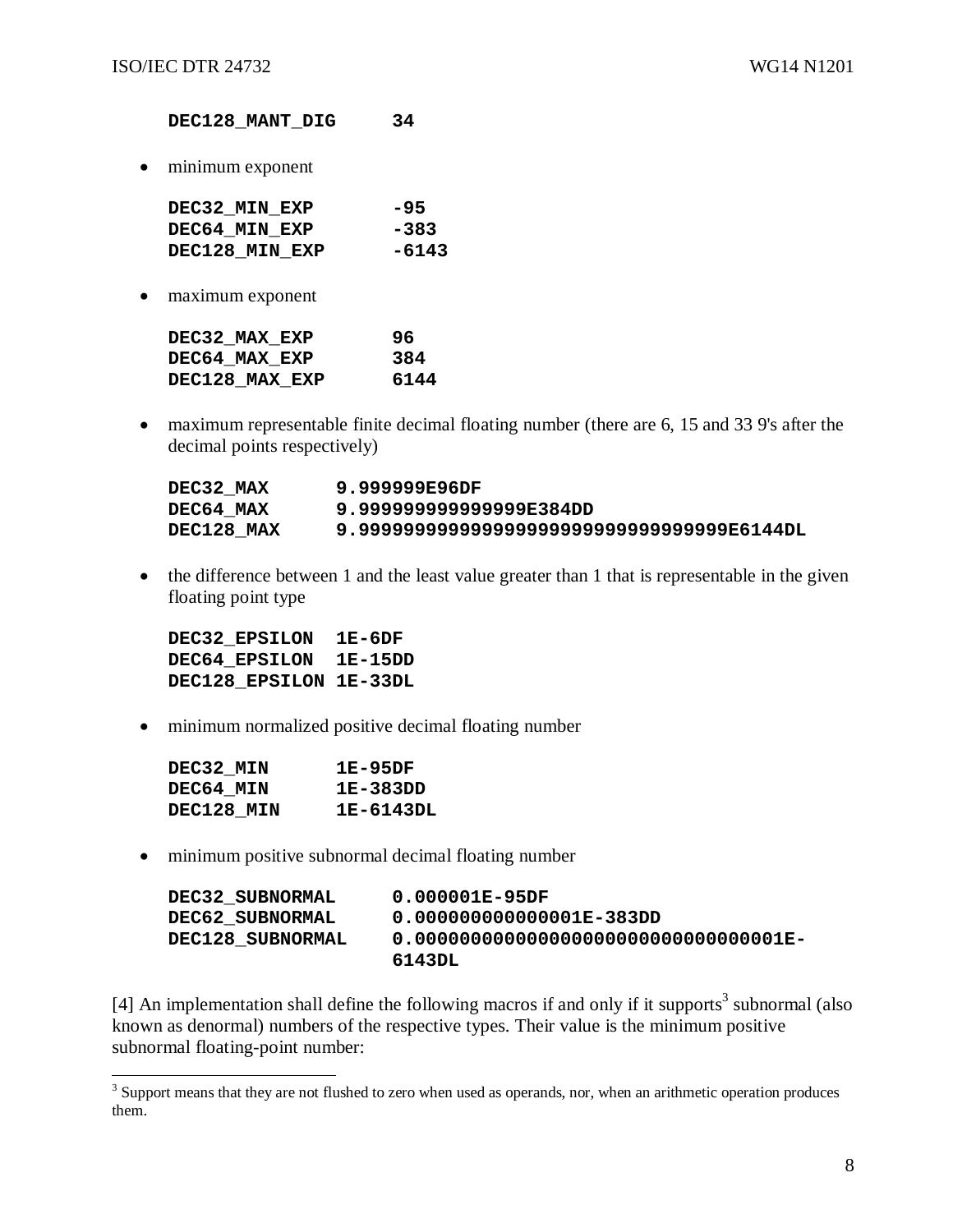**DEC128\_MANT\_DIG 34**

• minimum exponent

| DEC32 MIN EXP  | -95    |
|----------------|--------|
| DEC64 MIN EXP  | $-383$ |
| DEC128 MIN EXP | -6143  |

• maximum exponent

| DEC32 MAX EXP  | 96   |
|----------------|------|
| DEC64 MAX EXP  | 384  |
| DEC128 MAX EXP | 6144 |

• maximum representable finite decimal floating number (there are 6, 15 and 33 9's after the decimal points respectively)

| DEC32 MAX  | 9.999999E96DF                           |
|------------|-----------------------------------------|
| DEC64 MAX  | 9.99999999999999E384DD                  |
| DEC128 MAX | 9.99999999999999999999999999999986144DL |

• the difference between 1 and the least value greater than 1 that is representable in the given floating point type

**DEC32\_EPSILON 1E-6DF DEC64\_EPSILON 1E-15DD DEC128\_EPSILON 1E-33DL**

• minimum normalized positive decimal floating number

| DEC32 MIN  | 1E-95DF   |
|------------|-----------|
| DEC64 MIN  | 1E-383DD  |
| DEC128 MIN | 1E-6143DL |

• minimum positive subnormal decimal floating number

| DEC32 SUBNORMAL  | 0.000001E-95DF           |
|------------------|--------------------------|
| DEC62 SUBNORMAL  | 0.000000000000001E-383DD |
| DEC128 SUBNORMAL |                          |
|                  | 6143DL                   |

[4] An implementation shall define the following macros if and only if it supports<sup>3</sup> subnormal (also known as denormal) numbers of the respective types. Their value is the minimum positive subnormal floating-point number:

<sup>&</sup>lt;sup>3</sup> Support means that they are not flushed to zero when used as operands, nor, when an arithmetic operation produces them.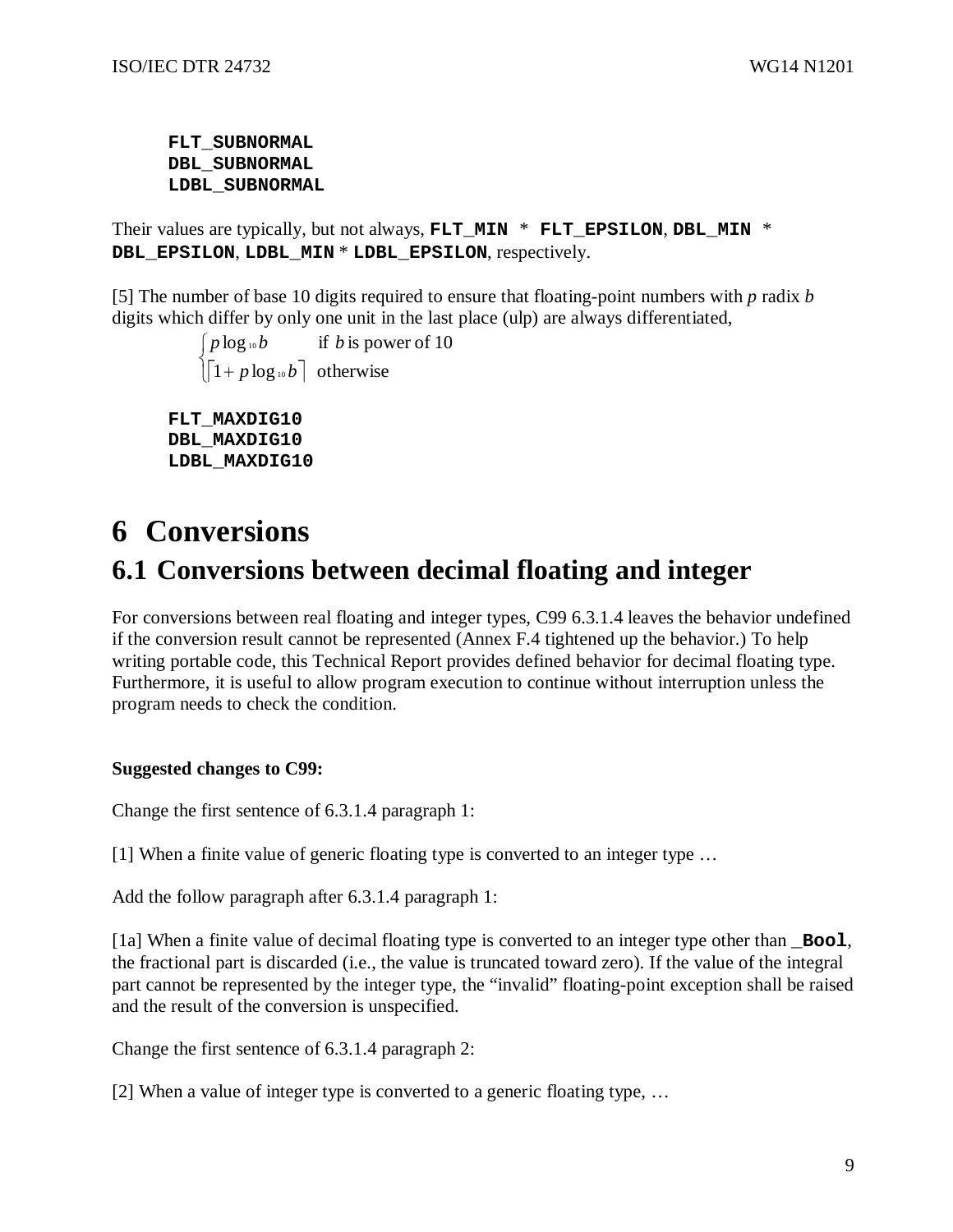**FLT\_SUBNORMAL DBL\_SUBNORMAL LDBL\_SUBNORMAL**

Their values are typically, but not always, **FLT\_MIN** \* **FLT\_EPSILON**, **DBL\_MIN** \* **DBL\_EPSILON**, **LDBL\_MIN** \* **LDBL\_EPSILON**, respectively.

[5] The number of base 10 digits required to ensure that floating-point numbers with *p* radix *b* digits which differ by only one unit in the last place (ulp) are always differentiated,

```
\left[\left[1+p\log_{10}b\right]\right] otherwise
     \int p \log_{10} b if b is power of 10
FLT_MAXDIG10 
 DBL_MAXDIG10
```
## **LDBL\_MAXDIG10**

# **6 Conversions 6.1 Conversions between decimal floating and integer**

For conversions between real floating and integer types, C99 6.3.1.4 leaves the behavior undefined if the conversion result cannot be represented (Annex F.4 tightened up the behavior.) To help writing portable code, this Technical Report provides defined behavior for decimal floating type. Furthermore, it is useful to allow program execution to continue without interruption unless the program needs to check the condition.

### **Suggested changes to C99:**

Change the first sentence of 6.3.1.4 paragraph 1:

[1] When a finite value of generic floating type is converted to an integer type …

Add the follow paragraph after 6.3.1.4 paragraph 1:

[1a] When a finite value of decimal floating type is converted to an integer type other than **\_Bool**, the fractional part is discarded (i.e., the value is truncated toward zero). If the value of the integral part cannot be represented by the integer type, the "invalid" floating-point exception shall be raised and the result of the conversion is unspecified.

Change the first sentence of 6.3.1.4 paragraph 2:

[2] When a value of integer type is converted to a generic floating type, …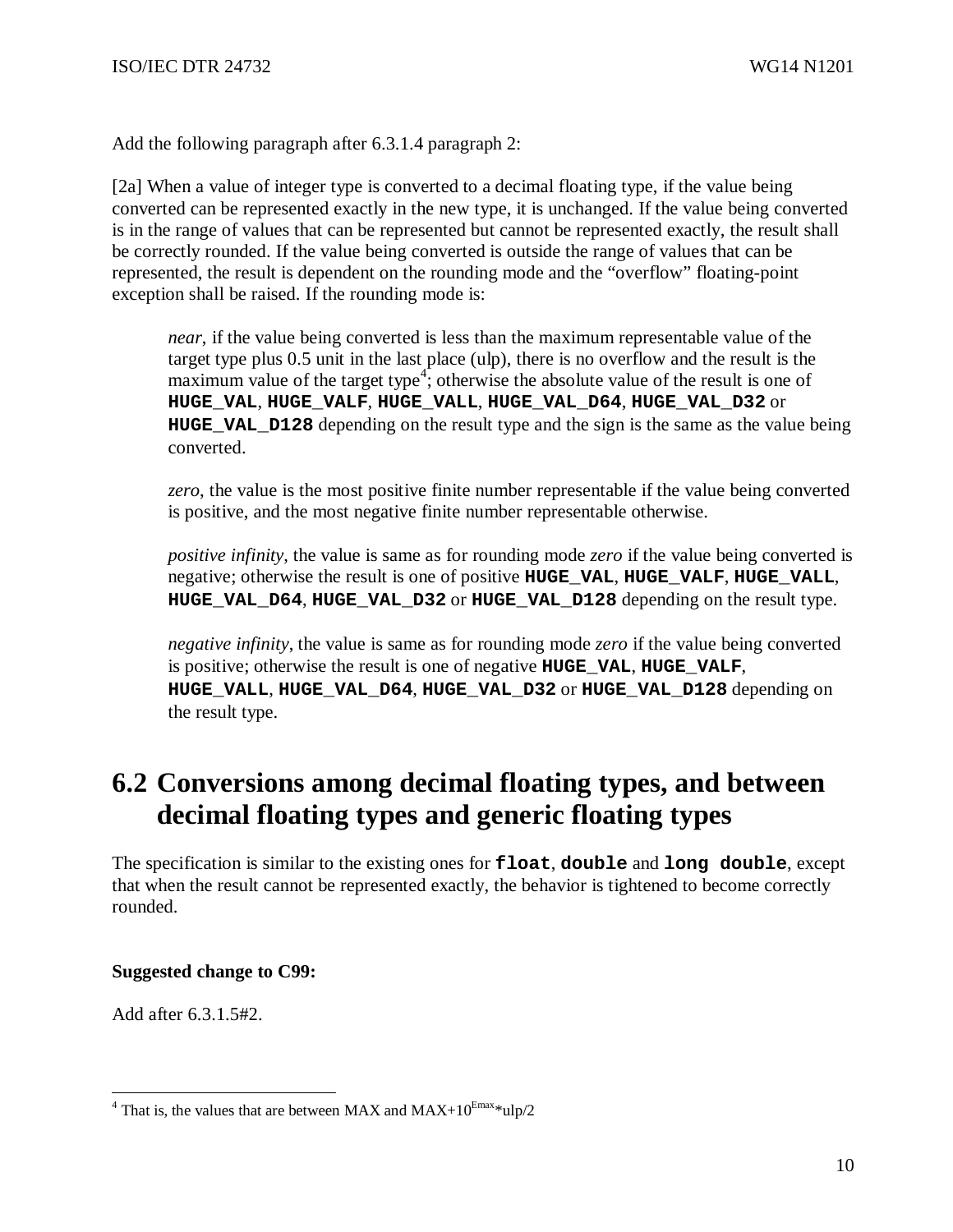Add the following paragraph after 6.3.1.4 paragraph 2:

[2a] When a value of integer type is converted to a decimal floating type, if the value being converted can be represented exactly in the new type, it is unchanged. If the value being converted is in the range of values that can be represented but cannot be represented exactly, the result shall be correctly rounded. If the value being converted is outside the range of values that can be represented, the result is dependent on the rounding mode and the "overflow" floating-point exception shall be raised. If the rounding mode is:

*near*, if the value being converted is less than the maximum representable value of the target type plus 0.5 unit in the last place (ulp), there is no overflow and the result is the maximum value of the target type<sup>4</sup>; otherwise the absolute value of the result is one of **HUGE\_VAL**, **HUGE\_VALF**, **HUGE\_VALL**, **HUGE\_VAL\_D64**, **HUGE\_VAL\_D32** or **HUGE\_VAL\_D128** depending on the result type and the sign is the same as the value being converted.

*zero*, the value is the most positive finite number representable if the value being converted is positive, and the most negative finite number representable otherwise.

*positive infinity*, the value is same as for rounding mode *zero* if the value being converted is negative; otherwise the result is one of positive **HUGE\_VAL**, **HUGE\_VALF**, **HUGE\_VALL**, **HUGE\_VAL\_D64**, **HUGE\_VAL\_D32** or **HUGE\_VAL\_D128** depending on the result type.

*negative infinity*, the value is same as for rounding mode *zero* if the value being converted is positive; otherwise the result is one of negative **HUGE\_VAL**, **HUGE\_VALF**, **HUGE\_VALL**, **HUGE\_VAL\_D64**, **HUGE\_VAL\_D32** or **HUGE\_VAL\_D128** depending on the result type.

# **6.2 Conversions among decimal floating types, and between decimal floating types and generic floating types**

The specification is similar to the existing ones for **float**, **double** and **long double**, except that when the result cannot be represented exactly, the behavior is tightened to become correctly rounded.

### **Suggested change to C99:**

Add after 6.3.1.5#2.

That is, the values that are between MAX and MAX+ $10^{\text{Emax}}$ \*ulp/2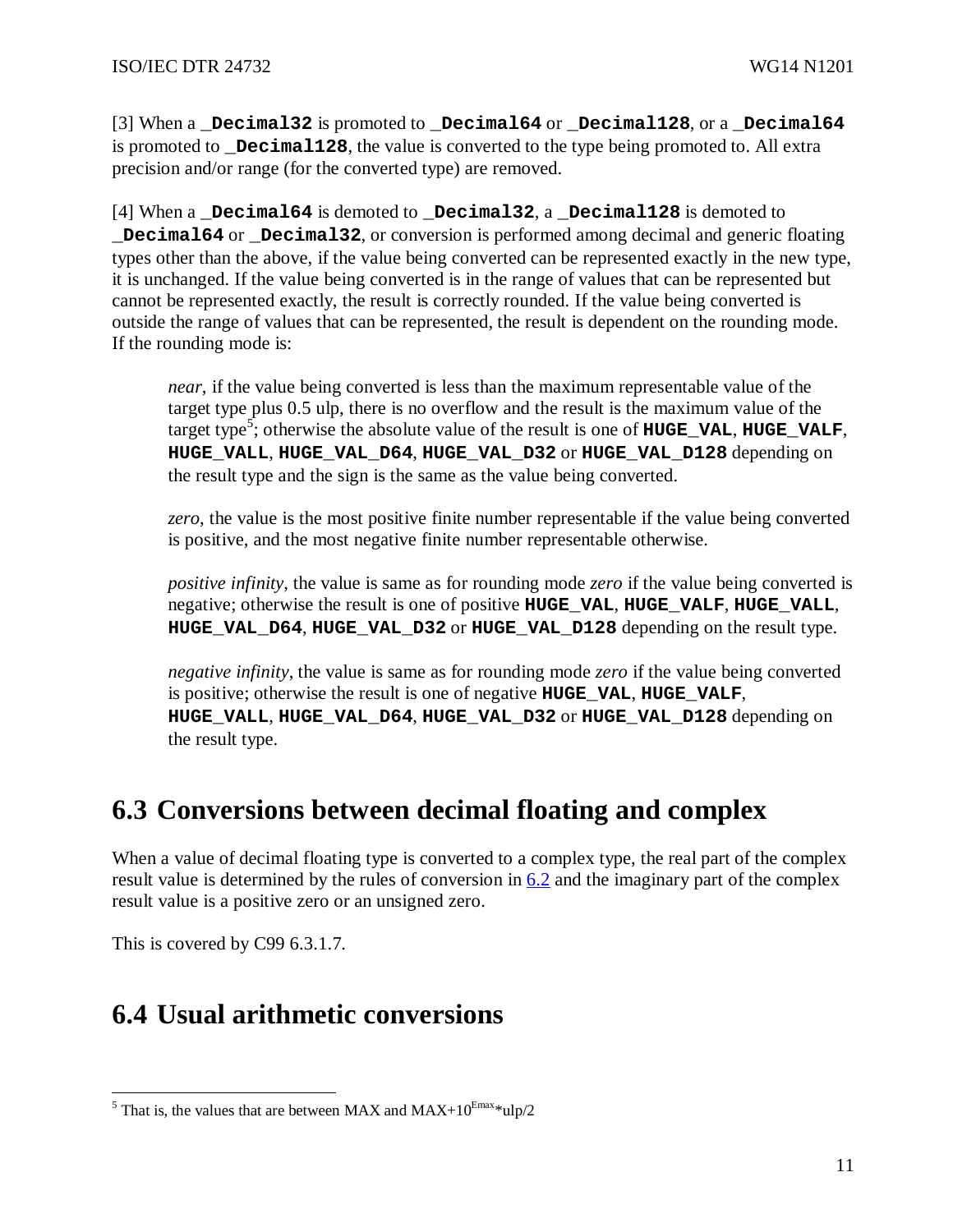[3] When a **\_Decimal32** is promoted to **\_Decimal64** or **\_Decimal128**, or a **\_Decimal64** is promoted to **\_Decimal128**, the value is converted to the type being promoted to. All extra precision and/or range (for the converted type) are removed.

[4] When a **\_Decimal64** is demoted to **\_Decimal32**, a **\_Decimal128** is demoted to **\_Decimal64** or **\_Decimal32**, or conversion is performed among decimal and generic floating types other than the above, if the value being converted can be represented exactly in the new type, it is unchanged. If the value being converted is in the range of values that can be represented but cannot be represented exactly, the result is correctly rounded. If the value being converted is outside the range of values that can be represented, the result is dependent on the rounding mode. If the rounding mode is:

*near*, if the value being converted is less than the maximum representable value of the target type plus 0.5 ulp, there is no overflow and the result is the maximum value of the target type<sup>5</sup> ; otherwise the absolute value of the result is one of **HUGE\_VAL**, **HUGE\_VALF**, **HUGE\_VALL**, **HUGE\_VAL\_D64**, **HUGE\_VAL\_D32** or **HUGE\_VAL\_D128** depending on the result type and the sign is the same as the value being converted.

*zero*, the value is the most positive finite number representable if the value being converted is positive, and the most negative finite number representable otherwise.

*positive infinity*, the value is same as for rounding mode *zero* if the value being converted is negative; otherwise the result is one of positive **HUGE\_VAL**, **HUGE\_VALF**, **HUGE\_VALL**, **HUGE\_VAL\_D64**, **HUGE\_VAL\_D32** or **HUGE\_VAL\_D128** depending on the result type.

*negative infinity*, the value is same as for rounding mode *zero* if the value being converted is positive; otherwise the result is one of negative **HUGE\_VAL**, **HUGE\_VALF**, **HUGE\_VALL**, **HUGE\_VAL\_D64**, **HUGE\_VAL\_D32** or **HUGE\_VAL\_D128** depending on the result type.

# **6.3 Conversions between decimal floating and complex**

When a value of decimal floating type is converted to a complex type, the real part of the complex result value is determined by the rules of conversion in  $6.2$  and the imaginary part of the complex result value is a positive zero or an unsigned zero.

This is covered by C99 6.3.1.7.

# **6.4 Usual arithmetic conversions**

<sup>&</sup>lt;sup>5</sup> That is, the values that are between MAX and MAX+10<sup>Emax\*</sup>ulp/2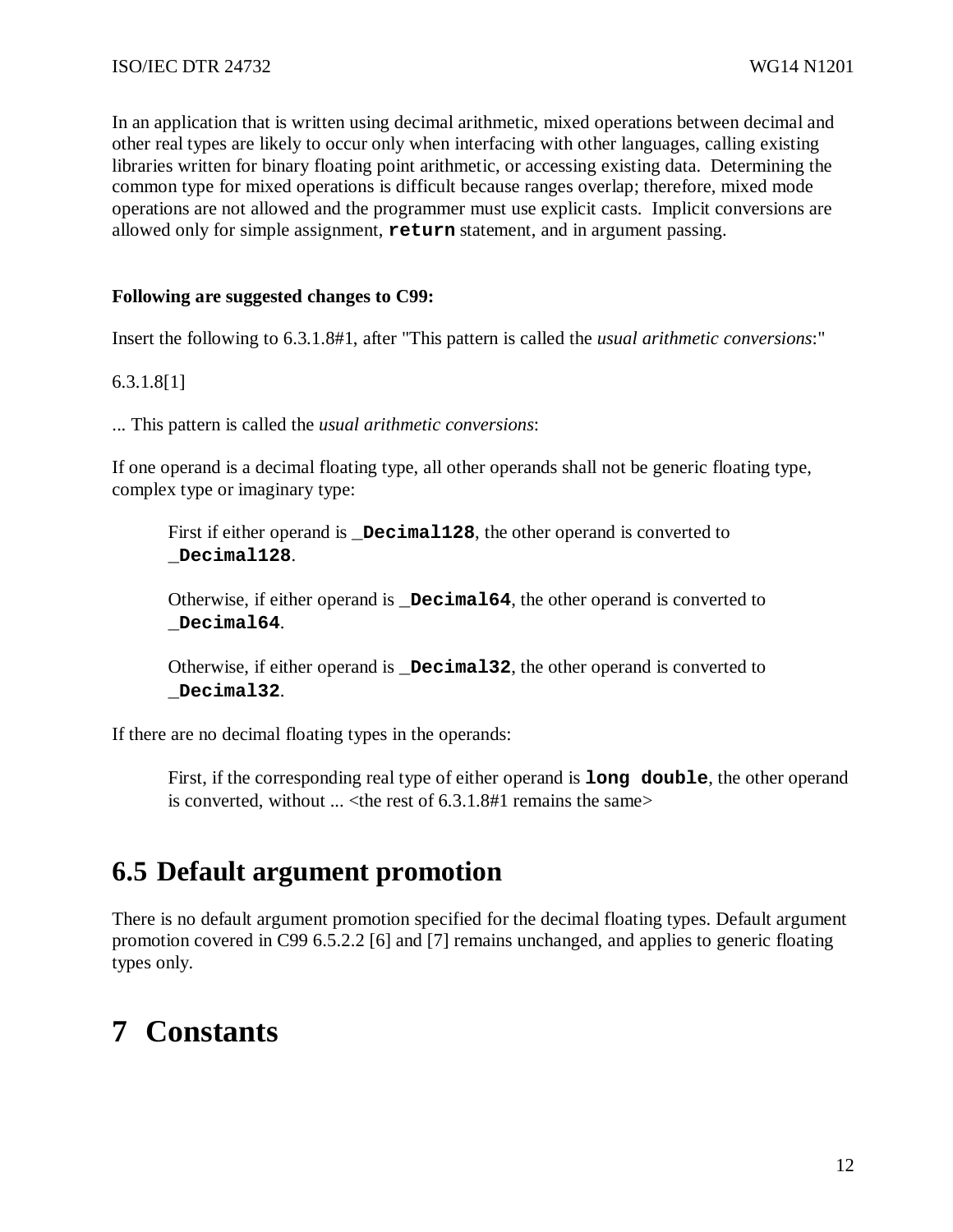In an application that is written using decimal arithmetic, mixed operations between decimal and other real types are likely to occur only when interfacing with other languages, calling existing libraries written for binary floating point arithmetic, or accessing existing data. Determining the common type for mixed operations is difficult because ranges overlap; therefore, mixed mode operations are not allowed and the programmer must use explicit casts. Implicit conversions are allowed only for simple assignment, **return** statement, and in argument passing.

### **Following are suggested changes to C99:**

Insert the following to 6.3.1.8#1, after "This pattern is called the *usual arithmetic conversions*:"

#### 6.3.1.8[1]

... This pattern is called the *usual arithmetic conversions*:

If one operand is a decimal floating type, all other operands shall not be generic floating type, complex type or imaginary type:

First if either operand is **Decimal128**, the other operand is converted to **\_Decimal128**.

Otherwise, if either operand is **Decimal64**, the other operand is converted to **\_Decimal64**.

Otherwise, if either operand is **\_Decimal32**, the other operand is converted to **\_Decimal32**.

If there are no decimal floating types in the operands:

First, if the corresponding real type of either operand is **long double**, the other operand is converted, without  $\ldots$  < the rest of 6.3.1.8#1 remains the same >

# **6.5 Default argument promotion**

There is no default argument promotion specified for the decimal floating types. Default argument promotion covered in C99 6.5.2.2 [6] and [7] remains unchanged, and applies to generic floating types only.

# **7 Constants**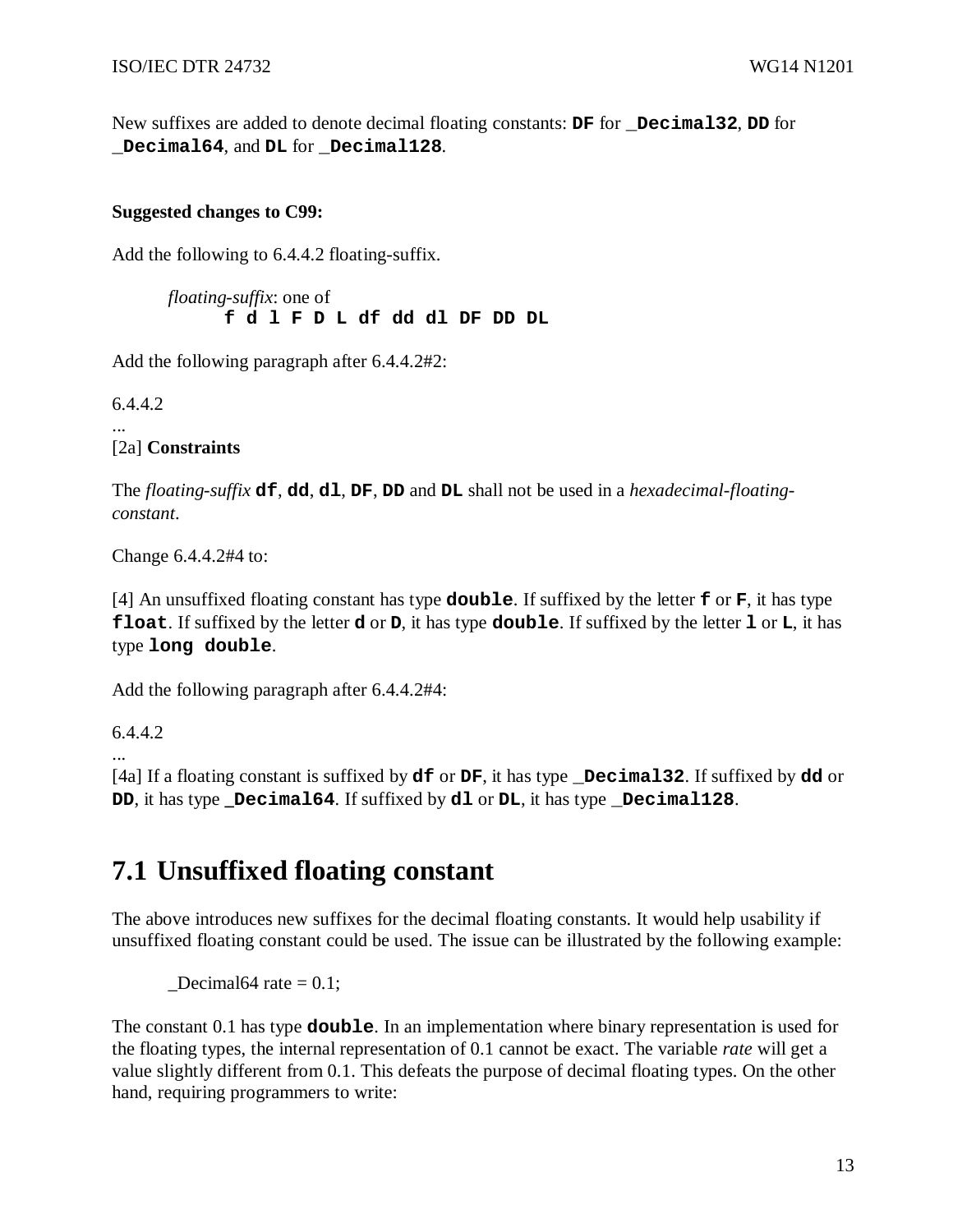New suffixes are added to denote decimal floating constants: **DF** for **\_Decimal32**, **DD** for **\_Decimal64**, and **DL** for **\_Decimal128**.

### **Suggested changes to C99:**

Add the following to 6.4.4.2 floating-suffix.

*floating-suffix*: one of **f d l F D L df dd dl DF DD DL** 

Add the following paragraph after 6.4.4.2#2:

6.4.4.2

... [2a] **Constraints**

The *floating-suffix* **df**, **dd**, **dl**, **DF**, **DD** and **DL** shall not be used in a *hexadecimal-floatingconstant*.

Change 6.4.4.2#4 to:

[4] An unsuffixed floating constant has type **double**. If suffixed by the letter **f** or **F**, it has type **float**. If suffixed by the letter **d** or **D**, it has type **double**. If suffixed by the letter **l** or **L**, it has type **long double**.

Add the following paragraph after 6.4.4.2#4:

6.4.4.2

...

[4a] If a floating constant is suffixed by **df** or **DF**, it has type **\_Decimal32**. If suffixed by **dd** or **DD**, it has type **Decimal64**. If suffixed by **dl** or **DL**, it has type **Decimal128**.

# **7.1 Unsuffixed floating constant**

The above introduces new suffixes for the decimal floating constants. It would help usability if unsuffixed floating constant could be used. The issue can be illustrated by the following example:

 $\text{Decimal64 rate} = 0.1$ ;

The constant 0.1 has type **double**. In an implementation where binary representation is used for the floating types, the internal representation of 0.1 cannot be exact. The variable *rate* will get a value slightly different from 0.1. This defeats the purpose of decimal floating types. On the other hand, requiring programmers to write: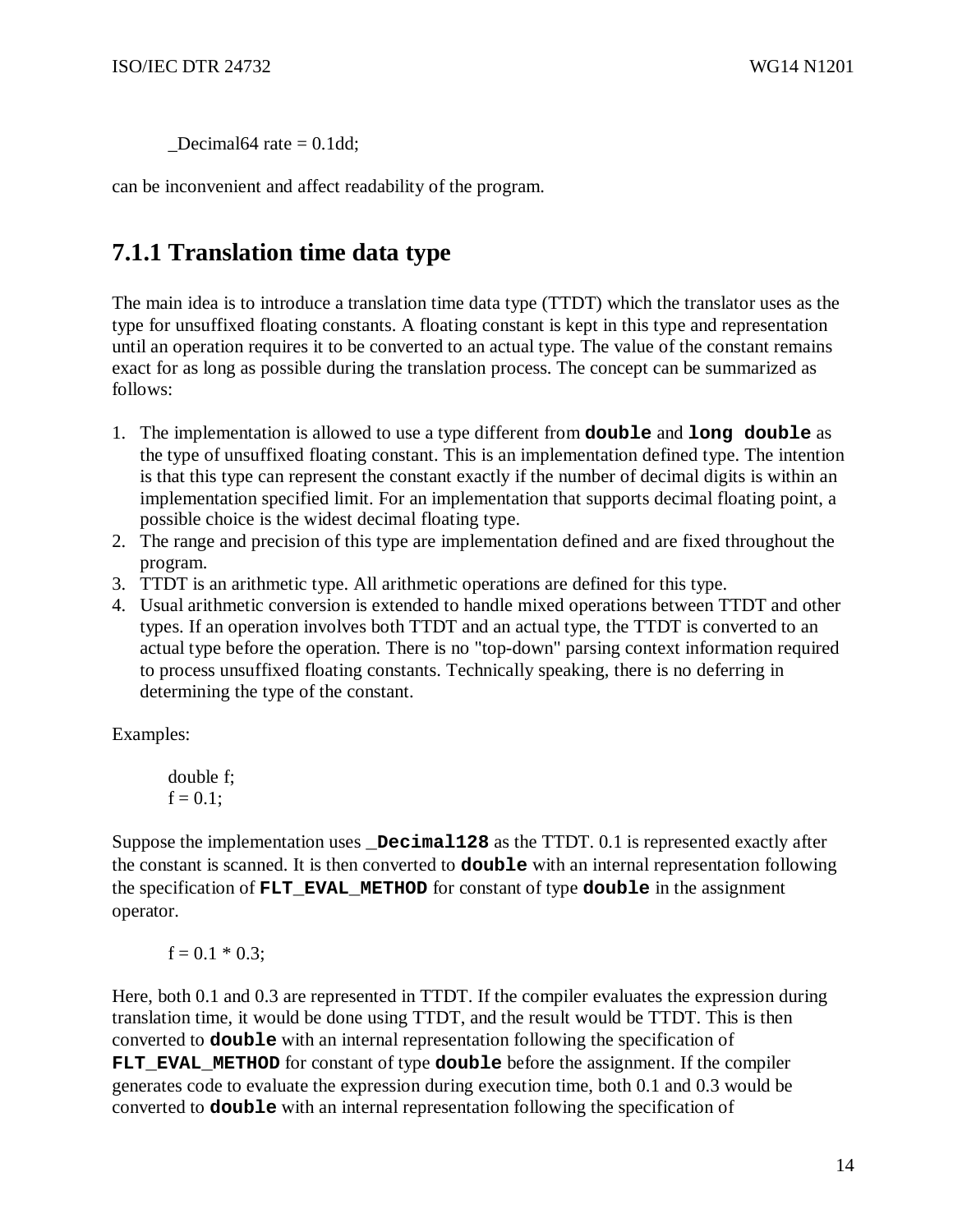$\text{Decimal64 rate} = 0.1 \text{dd};$ 

can be inconvenient and affect readability of the program.

## **7.1.1 Translation time data type**

The main idea is to introduce a translation time data type (TTDT) which the translator uses as the type for unsuffixed floating constants. A floating constant is kept in this type and representation until an operation requires it to be converted to an actual type. The value of the constant remains exact for as long as possible during the translation process. The concept can be summarized as follows:

- 1. The implementation is allowed to use a type different from **double** and **long double** as the type of unsuffixed floating constant. This is an implementation defined type. The intention is that this type can represent the constant exactly if the number of decimal digits is within an implementation specified limit. For an implementation that supports decimal floating point, a possible choice is the widest decimal floating type.
- 2. The range and precision of this type are implementation defined and are fixed throughout the program.
- 3. TTDT is an arithmetic type. All arithmetic operations are defined for this type.
- 4. Usual arithmetic conversion is extended to handle mixed operations between TTDT and other types. If an operation involves both TTDT and an actual type, the TTDT is converted to an actual type before the operation. There is no "top-down" parsing context information required to process unsuffixed floating constants. Technically speaking, there is no deferring in determining the type of the constant.

Examples:

```
double f; 
f = 0.1:
```
Suppose the implementation uses **\_Decimal128** as the TTDT. 0.1 is represented exactly after the constant is scanned. It is then converted to **double** with an internal representation following the specification of **FLT\_EVAL\_METHOD** for constant of type **double** in the assignment operator.

$$
f = 0.1 * 0.3;
$$

Here, both 0.1 and 0.3 are represented in TTDT. If the compiler evaluates the expression during translation time, it would be done using TTDT, and the result would be TTDT. This is then converted to **double** with an internal representation following the specification of **FLT\_EVAL\_METHOD** for constant of type **double** before the assignment. If the compiler generates code to evaluate the expression during execution time, both 0.1 and 0.3 would be converted to **double** with an internal representation following the specification of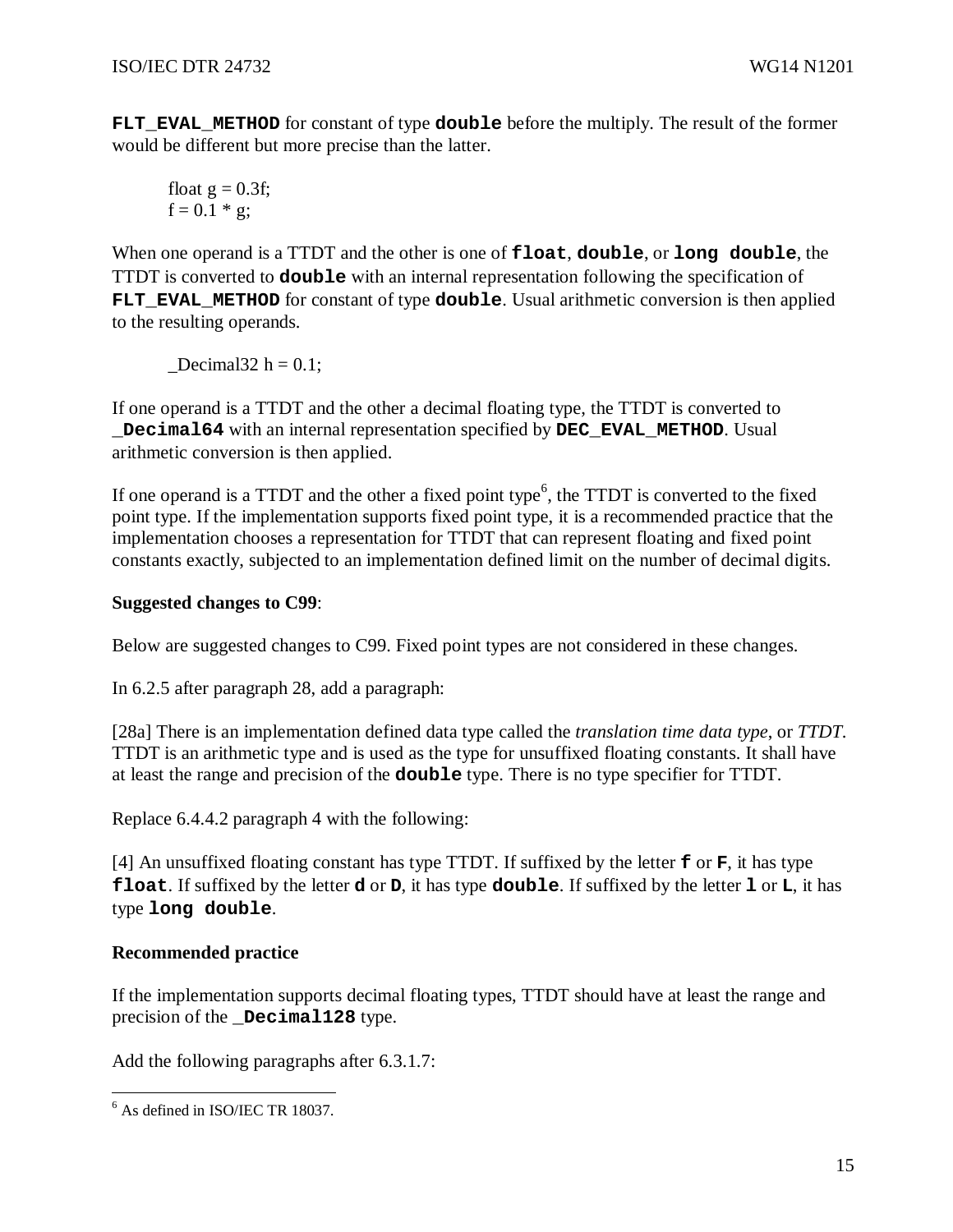**FLT\_EVAL\_METHOD** for constant of type **double** before the multiply. The result of the former would be different but more precise than the latter.

float 
$$
g = 0.3f
$$
;  
  $f = 0.1 * g$ ;

When one operand is a TTDT and the other is one of **float**, **double**, or **long double**, the TTDT is converted to **double** with an internal representation following the specification of FLT EVAL METHOD for constant of type **double**. Usual arithmetic conversion is then applied to the resulting operands.

Decimal32 h =  $0.1$ ;

If one operand is a TTDT and the other a decimal floating type, the TTDT is converted to **\_Decimal64** with an internal representation specified by **DEC\_EVAL\_METHOD**. Usual arithmetic conversion is then applied.

If one operand is a TTDT and the other a fixed point type<sup>6</sup>, the TTDT is converted to the fixed point type. If the implementation supports fixed point type, it is a recommended practice that the implementation chooses a representation for TTDT that can represent floating and fixed point constants exactly, subjected to an implementation defined limit on the number of decimal digits.

### **Suggested changes to C99**:

Below are suggested changes to C99. Fixed point types are not considered in these changes.

In 6.2.5 after paragraph 28, add a paragraph:

[28a] There is an implementation defined data type called the *translation time data type*, or *TTDT*. TTDT is an arithmetic type and is used as the type for unsuffixed floating constants. It shall have at least the range and precision of the **double** type. There is no type specifier for TTDT.

Replace 6.4.4.2 paragraph 4 with the following:

[4] An unsuffixed floating constant has type TTDT. If suffixed by the letter **f** or **F**, it has type **float**. If suffixed by the letter **d** or **D**, it has type **double**. If suffixed by the letter **l** or **L**, it has type **long double**.

### **Recommended practice**

If the implementation supports decimal floating types, TTDT should have at least the range and precision of the **\_Decimal128** type.

Add the following paragraphs after 6.3.1.7:

 6 As defined in ISO/IEC TR 18037.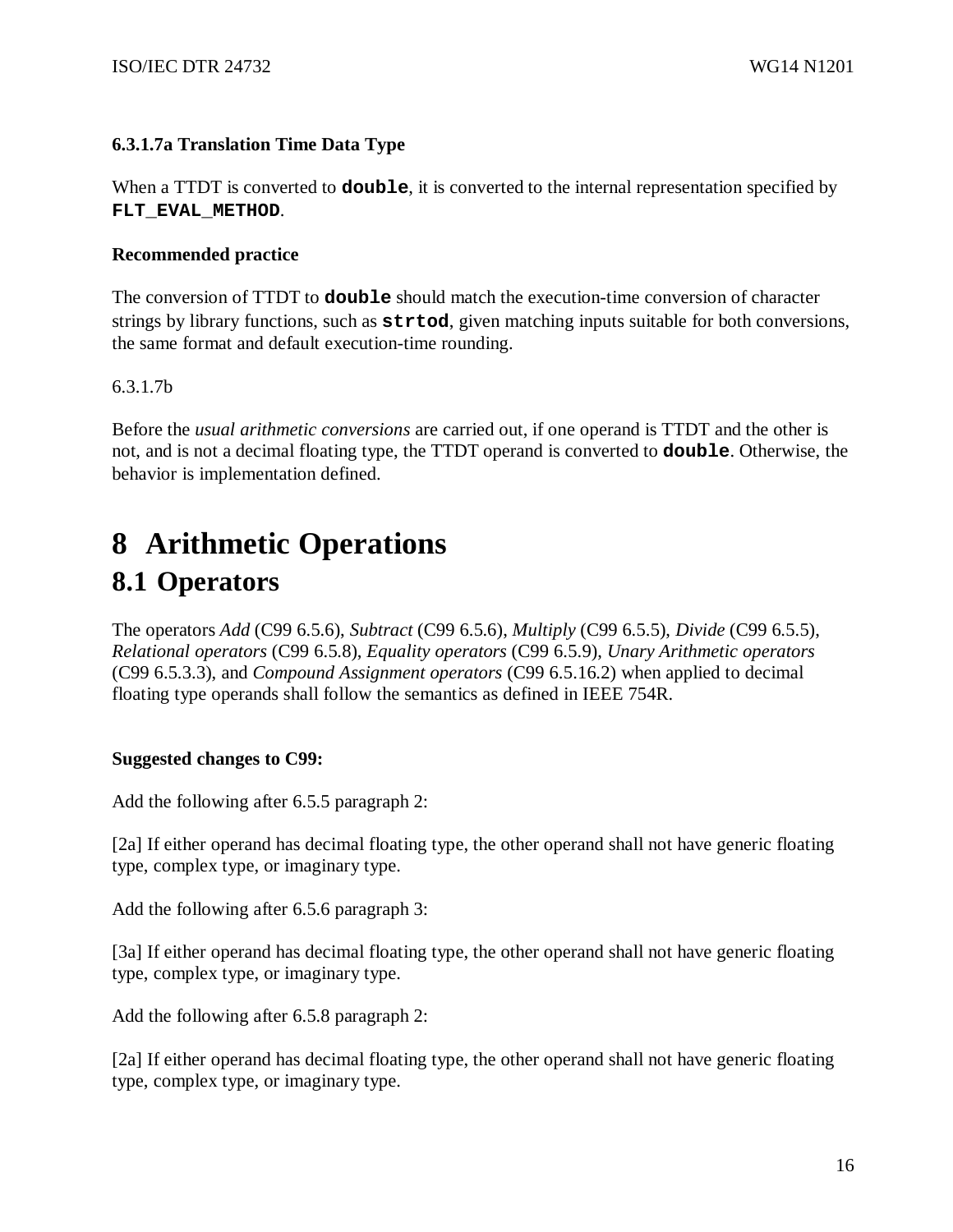## **6.3.1.7a Translation Time Data Type**

When a TTDT is converted to **double**, it is converted to the internal representation specified by **FLT\_EVAL\_METHOD**.

### **Recommended practice**

The conversion of TTDT to **double** should match the execution-time conversion of character strings by library functions, such as **strtod**, given matching inputs suitable for both conversions, the same format and default execution-time rounding.

## 6.3.1.7b

Before the *usual arithmetic conversions* are carried out, if one operand is TTDT and the other is not, and is not a decimal floating type, the TTDT operand is converted to **double**. Otherwise, the behavior is implementation defined.

# **8 Arithmetic Operations 8.1 Operators**

The operators *Add* (C99 6.5.6), *Subtract* (C99 6.5.6), *Multiply* (C99 6.5.5), *Divide* (C99 6.5.5), *Relational operators* (C99 6.5.8), *Equality operators* (C99 6.5.9), *Unary Arithmetic operators* (C99 6.5.3.3), and *Compound Assignment operators* (C99 6.5.16.2) when applied to decimal floating type operands shall follow the semantics as defined in IEEE 754R.

### **Suggested changes to C99:**

Add the following after 6.5.5 paragraph 2:

[2a] If either operand has decimal floating type, the other operand shall not have generic floating type, complex type, or imaginary type.

Add the following after 6.5.6 paragraph 3:

[3a] If either operand has decimal floating type, the other operand shall not have generic floating type, complex type, or imaginary type.

Add the following after 6.5.8 paragraph 2:

[2a] If either operand has decimal floating type, the other operand shall not have generic floating type, complex type, or imaginary type.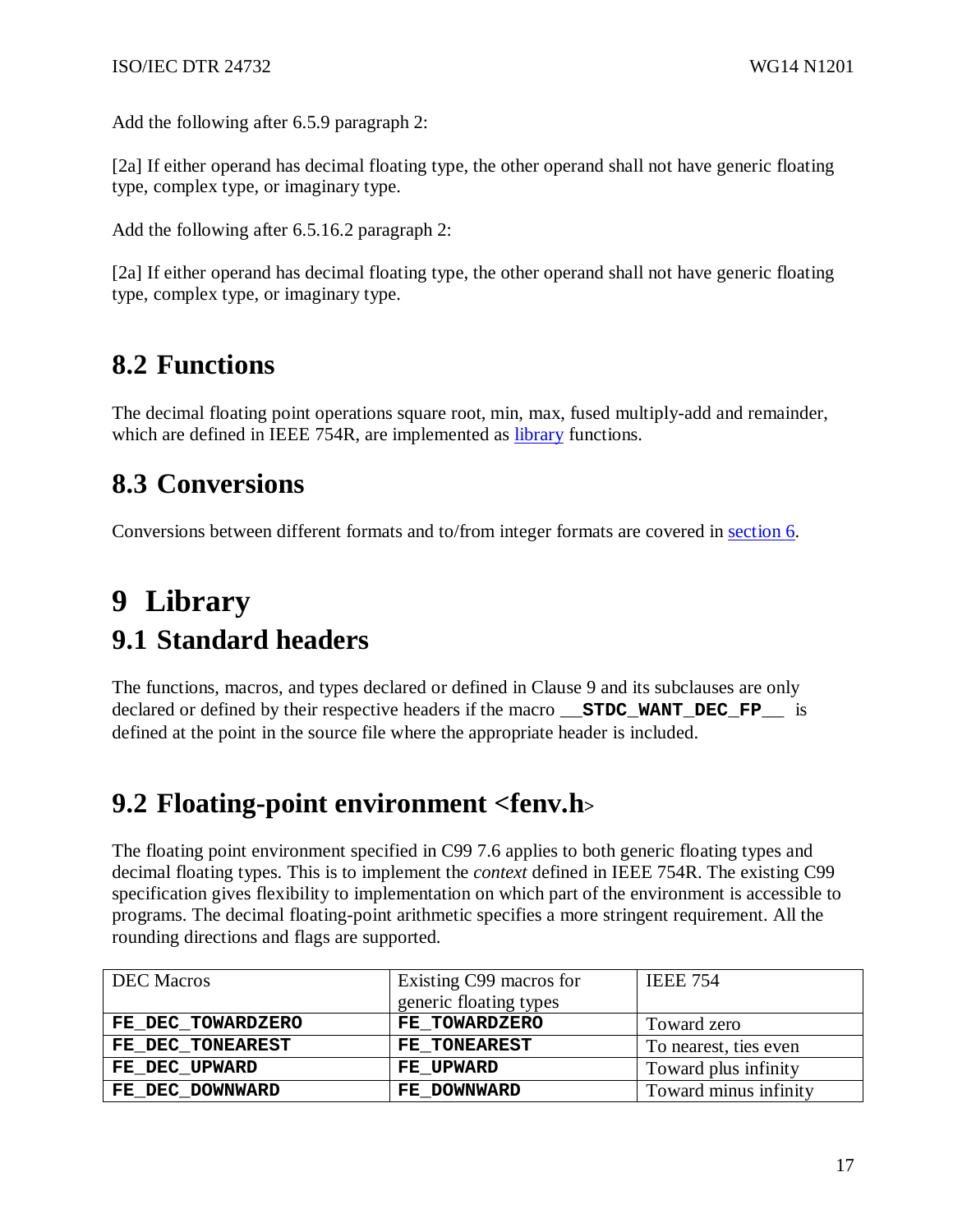Add the following after 6.5.9 paragraph 2:

[2a] If either operand has decimal floating type, the other operand shall not have generic floating type, complex type, or imaginary type.

Add the following after 6.5.16.2 paragraph 2:

[2a] If either operand has decimal floating type, the other operand shall not have generic floating type, complex type, or imaginary type.

# **8.2 Functions**

The decimal floating point operations square root, min, max, fused multiply-add and remainder, which are defined in IEEE 754R, are implemented as library functions.

# **8.3 Conversions**

Conversions between different formats and to/from integer formats are covered in section 6.

# **9 Library 9.1 Standard headers**

The functions, macros, and types declared or defined in Clause 9 and its subclauses are only declared or defined by their respective headers if the macro **\_\_STDC\_WANT\_DEC\_FP\_\_** is defined at the point in the source file where the appropriate header is included.

# **9.2 Floating-point environment <fenv.h<sup>&</sup>gt;**

The floating point environment specified in C99 7.6 applies to both generic floating types and decimal floating types. This is to implement the *context* defined in IEEE 754R. The existing C99 specification gives flexibility to implementation on which part of the environment is accessible to programs. The decimal floating-point arithmetic specifies a more stringent requirement. All the rounding directions and flags are supported.

| <b>DEC</b> Macros | Existing C99 macros for | <b>IEEE 754</b>       |
|-------------------|-------------------------|-----------------------|
|                   | generic floating types  |                       |
| FE DEC TOWARDZERO | FE TOWARDZERO           | Toward zero           |
| FE DEC TONEAREST  | FE TONEAREST            | To nearest, ties even |
| FE DEC UPWARD     | <b>FE UPWARD</b>        | Toward plus infinity  |
| FE DEC DOWNWARD   | FE DOWNWARD             | Toward minus infinity |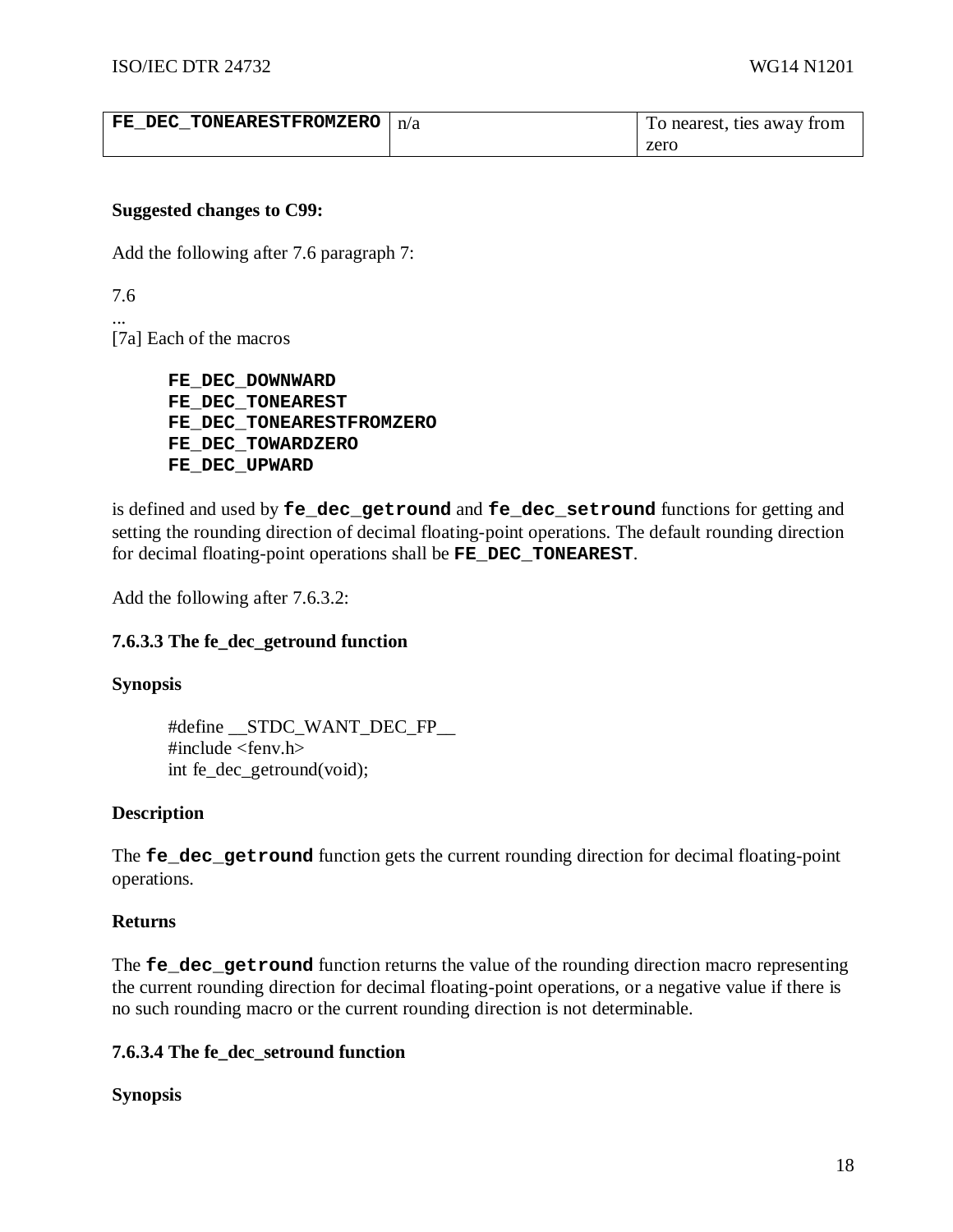| FE DEC TONEARESTFROMZERO | n/a | To nearest, ties away from |
|--------------------------|-----|----------------------------|
|                          |     | zero                       |

### **Suggested changes to C99:**

Add the following after 7.6 paragraph 7:

7.6

...

[7a] Each of the macros

**FE\_DEC\_DOWNWARD FE\_DEC\_TONEAREST FE\_DEC\_TONEARESTFROMZERO FE\_DEC\_TOWARDZERO FE\_DEC\_UPWARD**

is defined and used by **fe\_dec\_getround** and **fe\_dec\_setround** functions for getting and setting the rounding direction of decimal floating-point operations. The default rounding direction for decimal floating-point operations shall be **FE\_DEC\_TONEAREST**.

Add the following after 7.6.3.2:

### **7.6.3.3 The fe\_dec\_getround function**

#### **Synopsis**

#define \_\_STDC\_WANT\_DEC\_FP\_\_ #include <fenv.h> int fe\_dec\_getround(void);

#### **Description**

The **fe** dec getround function gets the current rounding direction for decimal floating-point operations.

#### **Returns**

The **fe\_dec\_getround** function returns the value of the rounding direction macro representing the current rounding direction for decimal floating-point operations, or a negative value if there is no such rounding macro or the current rounding direction is not determinable.

### **7.6.3.4 The fe\_dec\_setround function**

#### **Synopsis**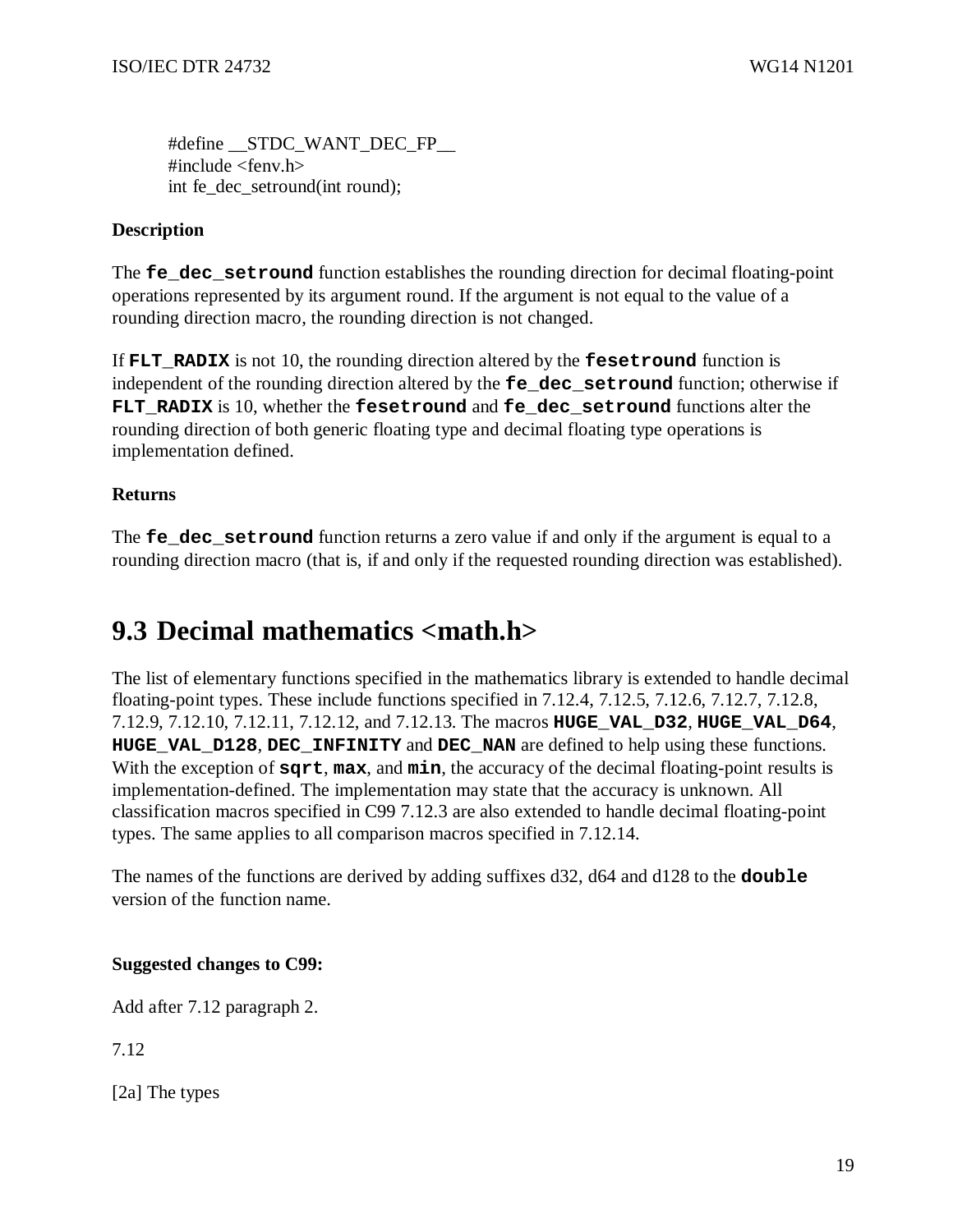#define \_\_STDC\_WANT\_DEC\_FP\_\_  $\#$ include  $\le$ fenv.h $>$ int fe\_dec\_setround(int round);

### **Description**

The **fe\_dec\_setround** function establishes the rounding direction for decimal floating-point operations represented by its argument round. If the argument is not equal to the value of a rounding direction macro, the rounding direction is not changed.

If **FLT\_RADIX** is not 10, the rounding direction altered by the **fesetround** function is independent of the rounding direction altered by the **fe\_dec\_setround** function; otherwise if FLT RADIX is 10, whether the **fesetround** and **fe** dec setround functions alter the rounding direction of both generic floating type and decimal floating type operations is implementation defined.

### **Returns**

The **fe\_dec\_setround** function returns a zero value if and only if the argument is equal to a rounding direction macro (that is, if and only if the requested rounding direction was established).

# **9.3 Decimal mathematics <math.h>**

The list of elementary functions specified in the mathematics library is extended to handle decimal floating-point types. These include functions specified in 7.12.4, 7.12.5, 7.12.6, 7.12.7, 7.12.8, 7.12.9, 7.12.10, 7.12.11, 7.12.12, and 7.12.13. The macros **HUGE\_VAL\_D32**, **HUGE\_VAL\_D64**, **HUGE\_VAL\_D128**, **DEC\_INFINITY** and **DEC\_NAN** are defined to help using these functions. With the exception of **sqrt**, **max**, and **min**, the accuracy of the decimal floating-point results is implementation-defined. The implementation may state that the accuracy is unknown. All classification macros specified in C99 7.12.3 are also extended to handle decimal floating-point types. The same applies to all comparison macros specified in 7.12.14.

The names of the functions are derived by adding suffixes d32, d64 and d128 to the **double** version of the function name.

### **Suggested changes to C99:**

Add after 7.12 paragraph 2.

7.12

[2a] The types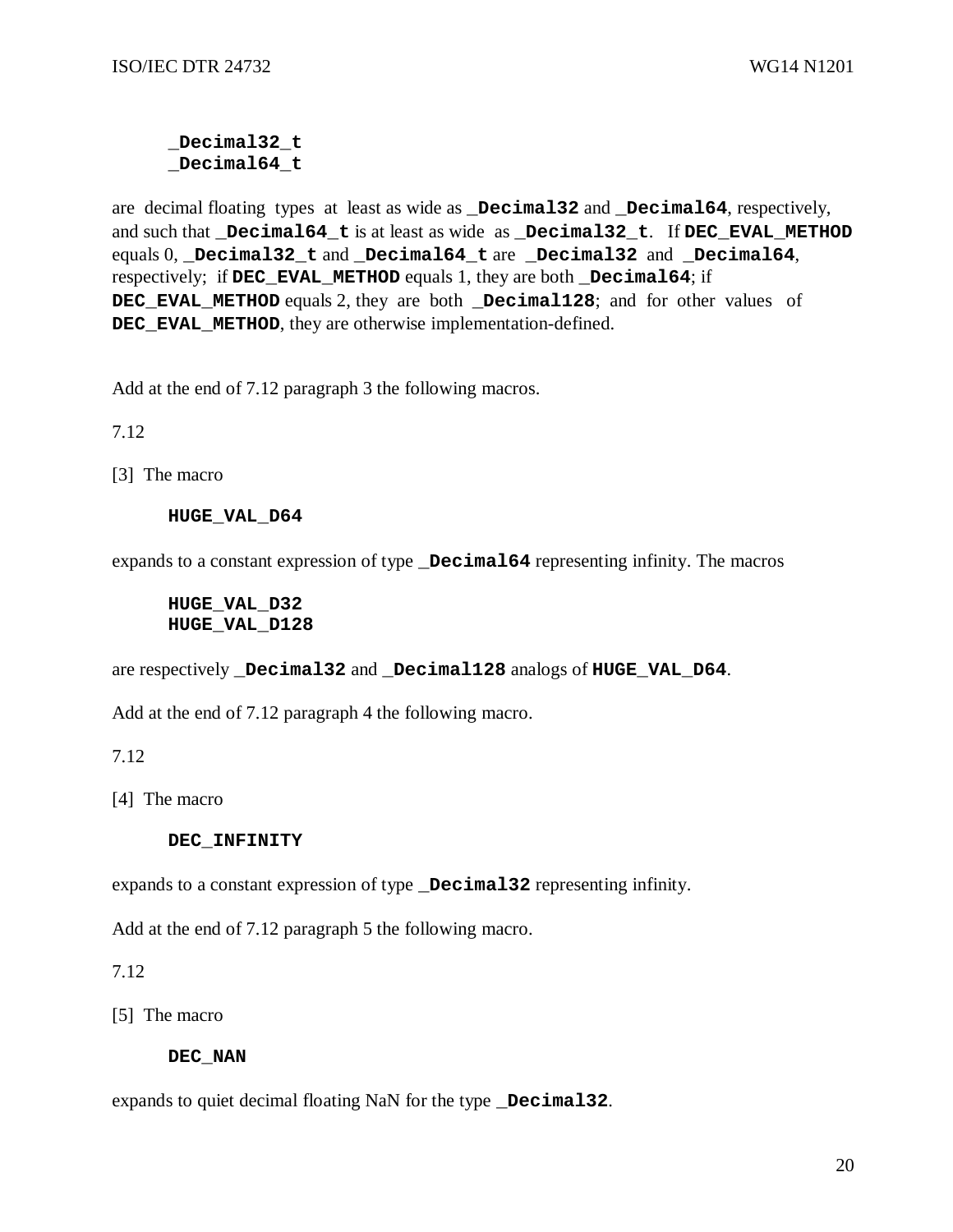#### **\_Decimal32\_t \_Decimal64\_t**

are decimal floating types at least as wide as **\_Decimal32** and **\_Decimal64**, respectively, and such that **\_Decimal64\_t** is at least as wide as **\_Decimal32\_t**. If **DEC\_EVAL\_METHOD** equals 0, **\_Decimal32\_t** and **\_Decimal64\_t** are **\_Decimal32** and **\_Decimal64**, respectively; if **DEC\_EVAL\_METHOD** equals 1, they are both **\_Decimal64**; if **DEC\_EVAL\_METHOD** equals 2, they are both **\_Decimal128**; and for other values of **DEC\_EVAL\_METHOD**, they are otherwise implementation-defined.

Add at the end of 7.12 paragraph 3 the following macros.

7.12

[3] The macro

#### **HUGE\_VAL\_D64**

expands to a constant expression of type **\_Decimal64** representing infinity. The macros

#### **HUGE\_VAL\_D32 HUGE\_VAL\_D128**

are respectively **\_Decimal32** and **\_Decimal128** analogs of **HUGE\_VAL\_D64**.

Add at the end of 7.12 paragraph 4 the following macro.

7.12

[4] The macro

#### **DEC\_INFINITY**

expands to a constant expression of type **\_Decimal32** representing infinity.

Add at the end of 7.12 paragraph 5 the following macro.

7.12

[5] The macro

#### **DEC\_NAN**

expands to quiet decimal floating NaN for the type **\_Decimal32**.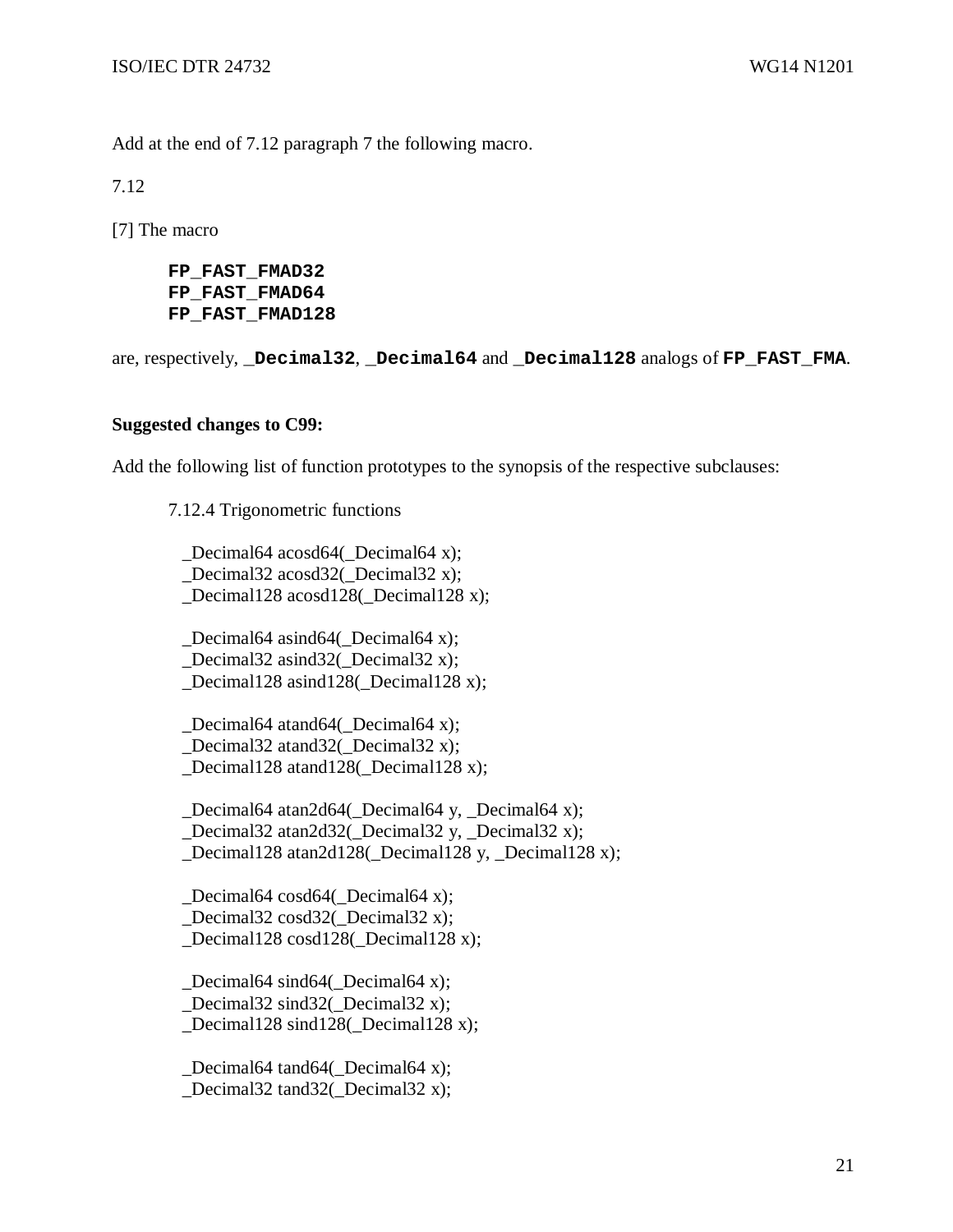Add at the end of 7.12 paragraph 7 the following macro.

7.12

[7] The macro

**FP\_FAST\_FMAD32 FP\_FAST\_FMAD64 FP\_FAST\_FMAD128** 

are, respectively, **\_Decimal32**, **\_Decimal64** and **\_Decimal128** analogs of **FP\_FAST\_FMA**.

#### **Suggested changes to C99:**

Add the following list of function prototypes to the synopsis of the respective subclauses:

7.12.4 Trigonometric functions

Decimal64 acosd64( Decimal64 x); Decimal32 acosd32( Decimal32 x); Decimal128 acosd128( Decimal128 x);

 \_Decimal64 asind64(\_Decimal64 x); Decimal32 asind32( Decimal32 x); \_Decimal128 asind128(\_Decimal128 x);

 \_Decimal64 atand64(\_Decimal64 x); Decimal32 atand32( Decimal32 x); \_Decimal128 atand128(\_Decimal128 x);

 \_Decimal64 atan2d64(\_Decimal64 y, \_Decimal64 x); Decimal32 atan2d32( Decimal32 y, Decimal32 x); \_Decimal128 atan2d128(\_Decimal128 y, \_Decimal128 x);

 \_Decimal64 cosd64(\_Decimal64 x); \_Decimal32 cosd32(\_Decimal32 x); \_Decimal128 cosd128(\_Decimal128 x);

 \_Decimal64 sind64(\_Decimal64 x); Decimal32 sind32( Decimal32 x); \_Decimal128 sind128(\_Decimal128 x);

 \_Decimal64 tand64(\_Decimal64 x); Decimal32 tand32( Decimal32 x);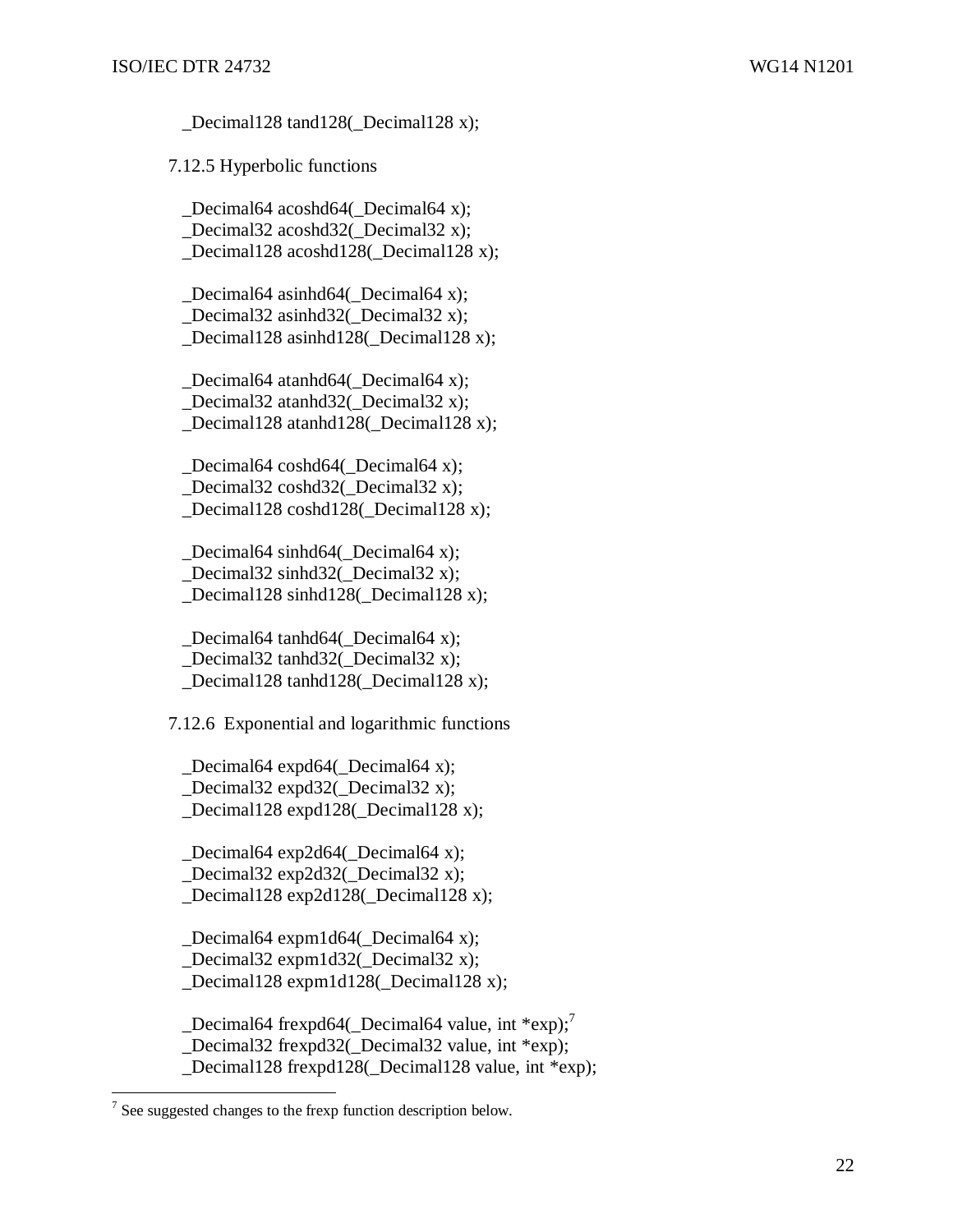Decimal128 tand128( Decimal128 x);

7.12.5 Hyperbolic functions

Decimal64 acoshd64( Decimal64 x); \_Decimal32 acoshd32(\_Decimal32 x); Decimal128 acoshd128( Decimal128 x);

 \_Decimal64 asinhd64(\_Decimal64 x); \_Decimal32 asinhd32(\_Decimal32 x); Decimal128 asinhd128( Decimal128 x);

Decimal64 atanhd64( Decimal64 x); \_Decimal32 atanhd32(\_Decimal32 x); Decimal128 atanhd128( Decimal128 x);

 \_Decimal64 coshd64(\_Decimal64 x); \_Decimal32 coshd32(\_Decimal32 x); \_Decimal128 coshd128(\_Decimal128 x);

 \_Decimal64 sinhd64(\_Decimal64 x); \_Decimal32 sinhd32(\_Decimal32 x); Decimal128 sinhd128( Decimal128 x);

 \_Decimal64 tanhd64(\_Decimal64 x); \_Decimal32 tanhd32(\_Decimal32 x); Decimal128 tanhd128( Decimal128 x);

7.12.6 Exponential and logarithmic functions

Decimal64 expd64( $\Delta$ Decimal64 x); \_Decimal32 expd32(\_Decimal32 x); Decimal128 expd128( Decimal128 x);

 \_Decimal64 exp2d64(\_Decimal64 x); Decimal32 exp2d32( Decimal32 x); Decimal128 exp2d128( Decimal128 x);

 \_Decimal64 expm1d64(\_Decimal64 x); \_Decimal32 expm1d32(\_Decimal32 x); Decimal128 expm1d128(\_Decimal128 x);

 $\_Decimal64$  frexpd64( $\_Decimal64$  value, int \*exp);<sup>7</sup> Decimal32 frexpd32( Decimal32 value, int \*exp); Decimal128 frexpd128( Decimal128 value, int \*exp);

The suggested changes to the frexp function description below.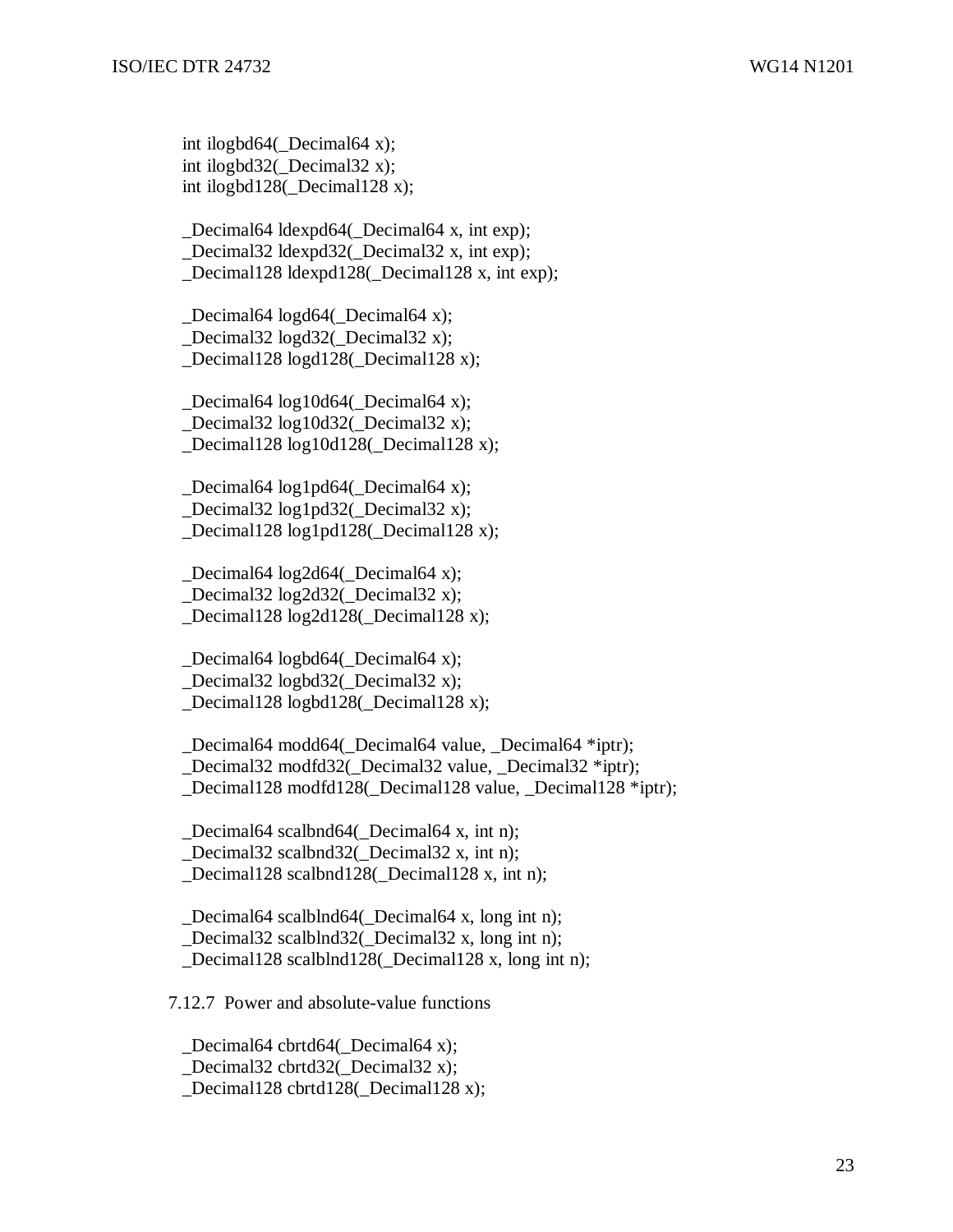int ilogbd64(\_Decimal64 x); int ilogbd32(\_Decimal32 x); int ilogbd128(\_Decimal128 x);

 \_Decimal64 ldexpd64(\_Decimal64 x, int exp); \_Decimal32 ldexpd32(\_Decimal32 x, int exp); \_Decimal128 ldexpd128(\_Decimal128 x, int exp);

Decimal64 logd64( $\Delta$ Decimal64 x); \_Decimal32 logd32(\_Decimal32 x); \_Decimal128 logd128(\_Decimal128 x);

 \_Decimal64 log10d64(\_Decimal64 x); Decimal32  $log10d32$  Decimal32 x); \_Decimal128 log10d128(\_Decimal128 x);

 \_Decimal64 log1pd64(\_Decimal64 x); \_Decimal32 log1pd32(\_Decimal32 x); \_Decimal128 log1pd128(\_Decimal128 x);

 \_Decimal64 log2d64(\_Decimal64 x); \_Decimal32 log2d32(\_Decimal32 x); \_Decimal128 log2d128(\_Decimal128 x);

Decimal64 logbd64( $\Delta$ Decimal64 x); \_Decimal32 logbd32(\_Decimal32 x); Decimal128 logbd128( Decimal128 x);

Decimal64 modd64( Decimal64 value, Decimal64 \*iptr); Decimal32 modfd32( Decimal32 value, Decimal32 \*iptr); \_Decimal128 modfd128(\_Decimal128 value, \_Decimal128 \*iptr);

Decimal64 scalbnd64( Decimal64 x, int n); Decimal32 scalbnd32( Decimal32 x, int n); Decimal128 scalbnd128( Decimal128 x, int n);

Decimal64 scalblnd64( Decimal64 x, long int n); \_Decimal32 scalblnd32(\_Decimal32 x, long int n); Decimal128 scalblnd128( Decimal128 x, long int n);

7.12.7 Power and absolute-value functions

Decimal64 cbrtd64( Decimal64 x); \_Decimal32 cbrtd32(\_Decimal32 x); Decimal128 cbrtd128( Decimal128 x);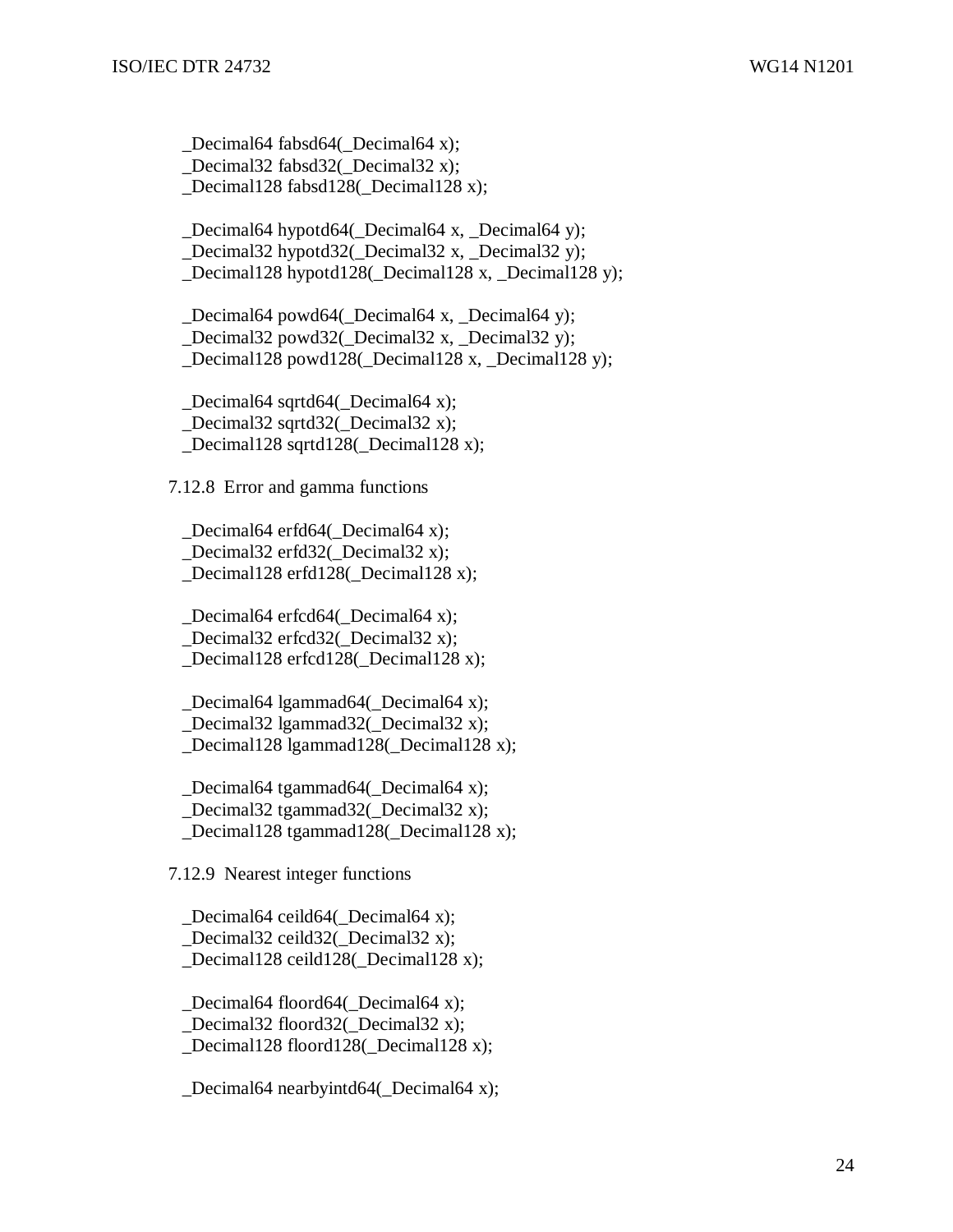\_Decimal64 fabsd64(\_Decimal64 x); Decimal32 fabsd32( Decimal32 x); \_Decimal128 fabsd128(\_Decimal128 x);

 \_Decimal64 hypotd64(\_Decimal64 x, \_Decimal64 y); \_Decimal32 hypotd32(\_Decimal32 x, \_Decimal32 y); Decimal128 hypotd128( Decimal128 x, Decimal128 y);

Decimal64 powd64( Decimal64 x, Decimal64 y); \_Decimal32 powd32(\_Decimal32 x, \_Decimal32 y); \_Decimal128 powd128(\_Decimal128 x, \_Decimal128 y);

 \_Decimal64 sqrtd64(\_Decimal64 x); Decimal32 sqrtd32( Decimal32 x); \_Decimal128 sqrtd128(\_Decimal128 x);

7.12.8 Error and gamma functions

Decimal64 erfd64( Decimal64 x); Decimal32 erfd32( Decimal32 x); \_Decimal128 erfd128(\_Decimal128 x);

 \_Decimal64 erfcd64(\_Decimal64 x); \_Decimal32 erfcd32(\_Decimal32 x); Decimal128 erfcd128( Decimal128 x);

Decimal64 lgammad64( $\Delta$ Decimal64 x); \_Decimal32 lgammad32(\_Decimal32 x); Decimal128 lgammad128( Decimal128 x);

 \_Decimal64 tgammad64(\_Decimal64 x); Decimal32 tgammad32( Decimal32 x); Decimal128 tgammad128( Decimal128 x);

7.12.9 Nearest integer functions

Decimal64 ceild64( Decimal64 x); \_Decimal32 ceild32(\_Decimal32 x); \_Decimal128 ceild128(\_Decimal128 x);

 \_Decimal64 floord64(\_Decimal64 x); \_Decimal32 floord32(\_Decimal32 x); Decimal128 floord128( Decimal128 x);

Decimal64 nearbyintd64( $\Delta$ Decimal64 x);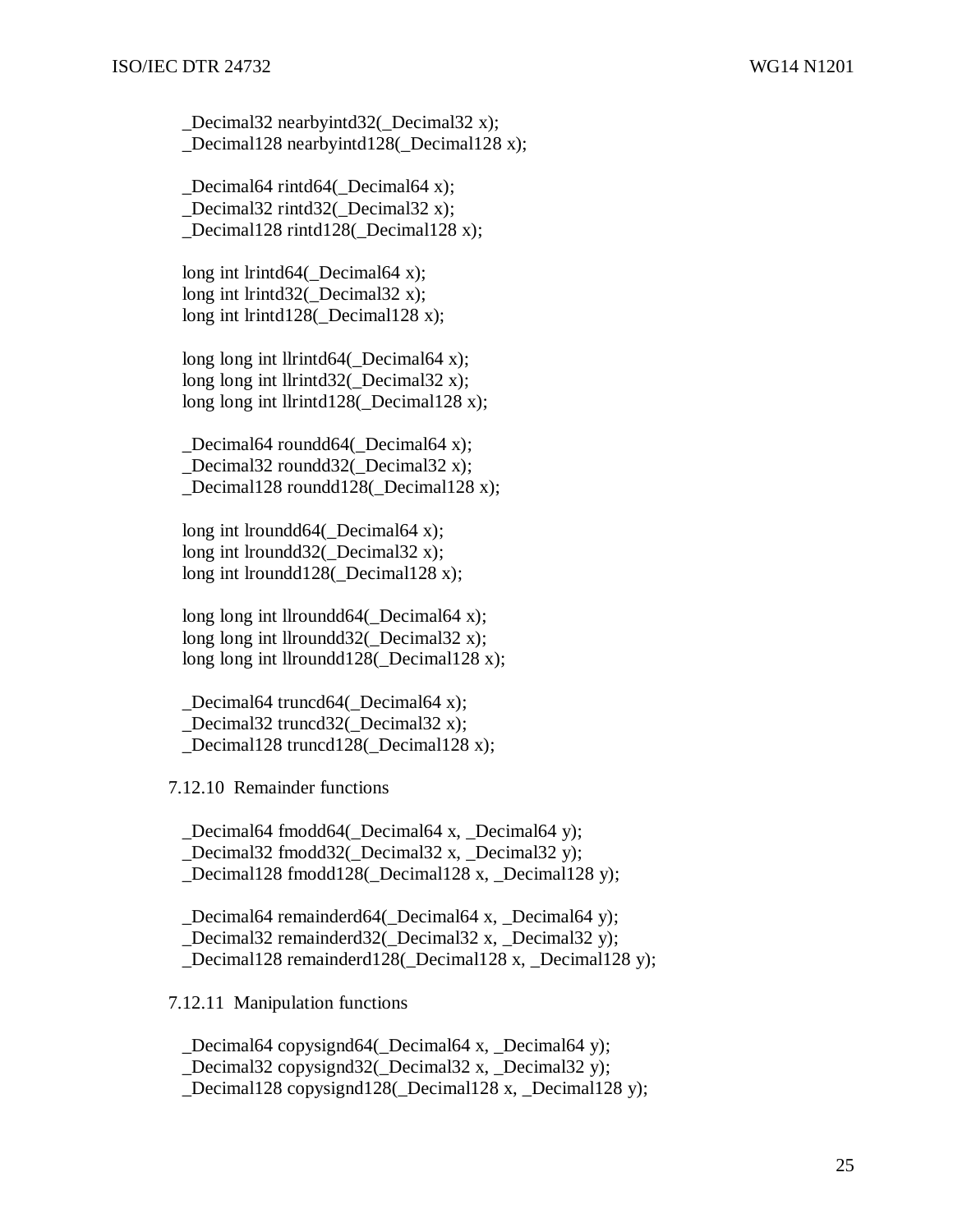\_Decimal32 nearbyintd32(\_Decimal32 x); \_Decimal128 nearbyintd128(\_Decimal128 x);

Decimal64 rintd64( Decimal64 x); Decimal32 rintd32( Decimal32 x); \_Decimal128 rintd128(\_Decimal128 x);

long int lrintd64(\_Decimal64 x); long int lrintd32( Decimal32 x); long int lrintd128(Decimal128 x);

long long int llrintd64(\_Decimal64 x); long long int llrintd $32$ ( Decimal $32$  x); long long int llrintd128(\_Decimal128 x);

 \_Decimal64 roundd64(\_Decimal64 x); Decimal32 roundd32( Decimal32 x); \_Decimal128 roundd128(\_Decimal128 x);

long int lroundd64( Decimal64 x); long int lroundd32( Decimal32 x); long int lroundd128(\_Decimal128 x);

long long int llroundd $64$ ( Decimal $64$  x); long long int llroundd $32$ ( Decimal $32$  x); long long int llroundd128(\_Decimal128 x);

Decimal64 truncd64( Decimal64 x); \_Decimal32 truncd32(\_Decimal32 x); Decimal128 truncd128( Decimal128 x);

7.12.10 Remainder functions

Decimal64 fmodd64( Decimal64 x, Decimal64 y); Decimal32 fmodd32( Decimal32 x, Decimal32 y); Decimal128 fmodd128( Decimal128 x, Decimal128 y);

Decimal64 remainderd64( Decimal64 x, Decimal64 y); \_Decimal32 remainderd32(\_Decimal32 x, \_Decimal32 y); Decimal128 remainderd128( Decimal128 x, Decimal128 y);

7.12.11 Manipulation functions

Decimal64 copysignd64( Decimal64 x, Decimal64 y); \_Decimal32 copysignd32(\_Decimal32 x, \_Decimal32 y); Decimal128 copysignd128( Decimal128 x, Decimal128 y);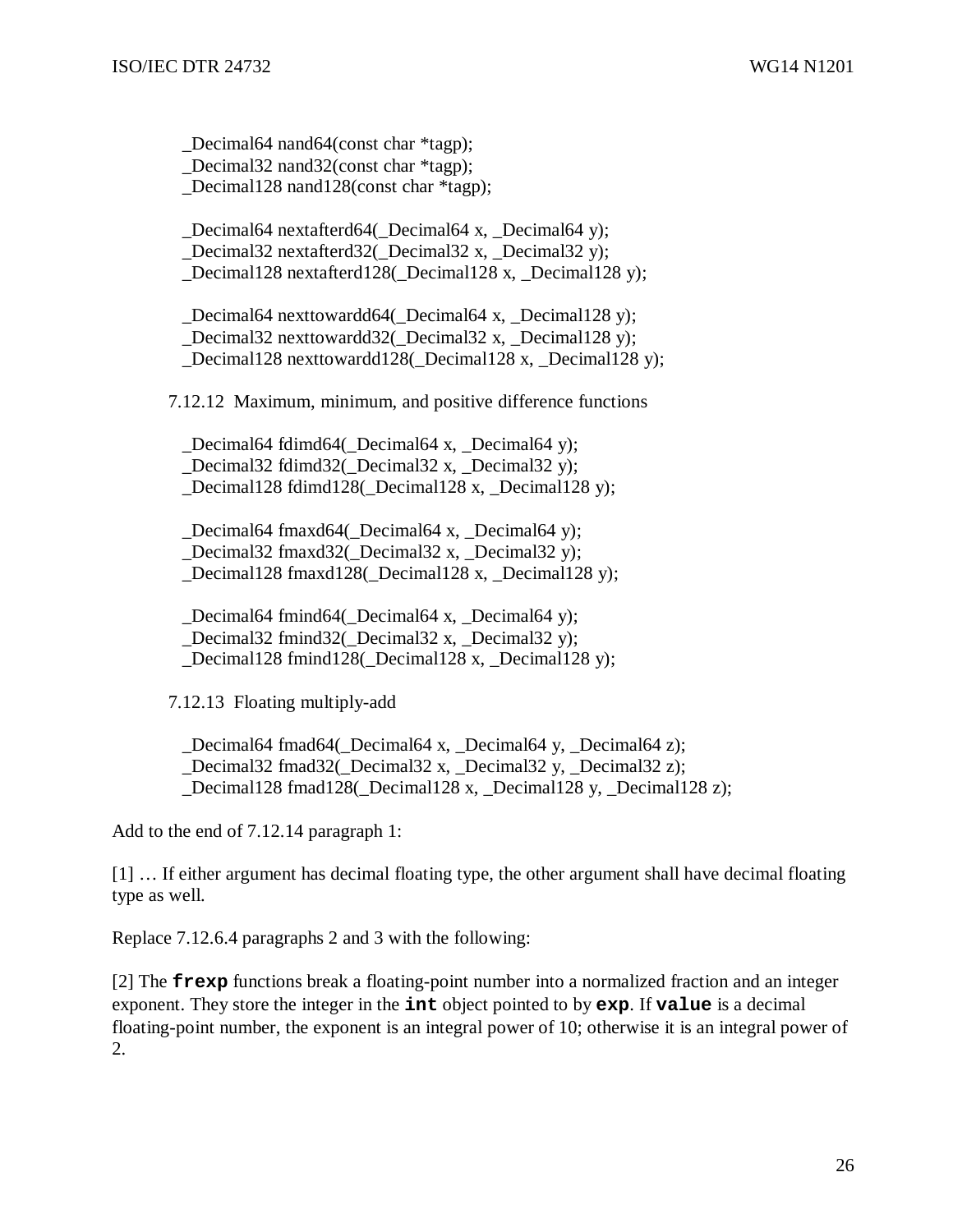\_Decimal64 nand64(const char \*tagp); Decimal32 nand32(const char \*tagp); \_Decimal128 nand128(const char \*tagp); \_Decimal64 nextafterd64(\_Decimal64 x, \_Decimal64 y);

 \_Decimal32 nextafterd32(\_Decimal32 x, \_Decimal32 y); \_Decimal128 nextafterd128(\_Decimal128 x, \_Decimal128 y);

Decimal64 nexttowardd64( Decimal64 x, Decimal128 y); \_Decimal32 nexttowardd32(\_Decimal32 x, \_Decimal128 y); \_Decimal128 nexttowardd128(\_Decimal128 x, \_Decimal128 y);

7.12.12 Maximum, minimum, and positive difference functions

 \_Decimal64 fdimd64(\_Decimal64 x, \_Decimal64 y); \_Decimal32 fdimd32(\_Decimal32 x, \_Decimal32 y); \_Decimal128 fdimd128(\_Decimal128 x, \_Decimal128 y);

Decimal64 fmaxd64( Decimal64 x, Decimal64 y); \_Decimal32 fmaxd32(\_Decimal32 x, \_Decimal32 y); \_Decimal128 fmaxd128(\_Decimal128 x, \_Decimal128 y);

 \_Decimal64 fmind64(\_Decimal64 x, \_Decimal64 y); \_Decimal32 fmind32(\_Decimal32 x, \_Decimal32 y); \_Decimal128 fmind128(\_Decimal128 x, \_Decimal128 y);

7.12.13 Floating multiply-add

Decimal64 fmad64( Decimal64 x, Decimal64 y, Decimal64 z); Decimal32 fmad32( Decimal32 x, Decimal32 y, Decimal32 z); \_Decimal128 fmad128(\_Decimal128 x, \_Decimal128 y, \_Decimal128 z);

Add to the end of 7.12.14 paragraph 1:

[1] … If either argument has decimal floating type, the other argument shall have decimal floating type as well.

Replace 7.12.6.4 paragraphs 2 and 3 with the following:

[2] The **frexp** functions break a floating-point number into a normalized fraction and an integer exponent. They store the integer in the **int** object pointed to by **exp**. If **value** is a decimal floating-point number, the exponent is an integral power of 10; otherwise it is an integral power of 2.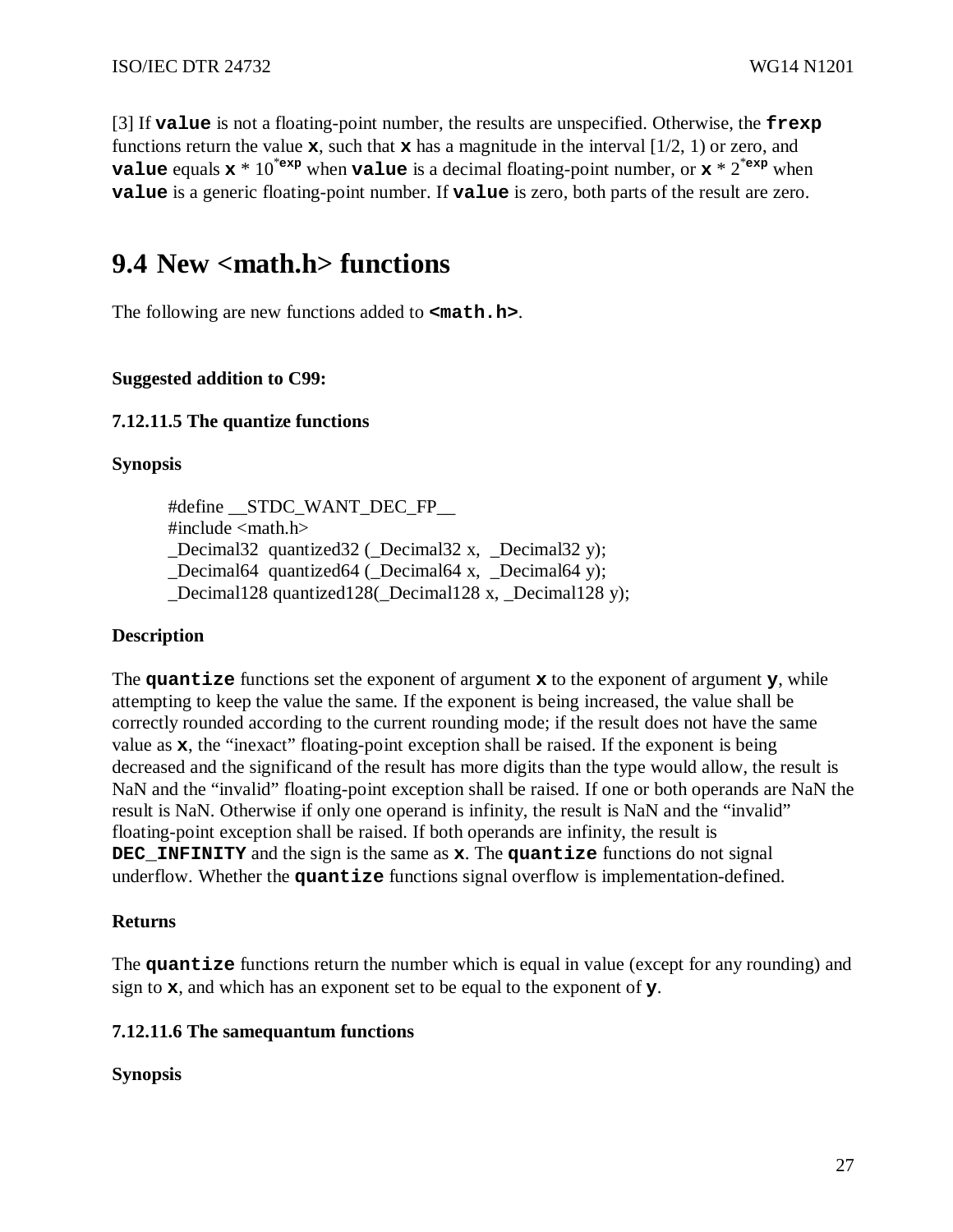[3] If **value** is not a floating-point number, the results are unspecified. Otherwise, the **frexp** functions return the value  $\mathbf{x}$ , such that  $\mathbf{x}$  has a magnitude in the interval  $[1/2, 1)$  or zero, and **value** equals  $x * 10^{*exp}$  when **value** is a decimal floating-point number, or  $x * 2^{*exp}$  when **value** is a generic floating-point number. If **value** is zero, both parts of the result are zero.

## **9.4 New <math.h> functions**

The following are new functions added to **<math.h>**.

#### **Suggested addition to C99:**

#### **7.12.11.5 The quantize functions**

#### **Synopsis**

#define \_\_STDC\_WANT\_DEC\_FP\_\_  $\#$ include  $\langle \text{math.h}\rangle$ Decimal32 quantized32 ( $\Delta$ Decimal32 x, Decimal32 y); \_Decimal64 quantized64 (\_Decimal64 x, \_Decimal64 y); \_Decimal128 quantized128(\_Decimal128 x, \_Decimal128 y);

#### **Description**

The **quantize** functions set the exponent of argument **x** to the exponent of argument **y**, while attempting to keep the value the same*.* If the exponent is being increased, the value shall be correctly rounded according to the current rounding mode; if the result does not have the same value as **x**, the "inexact" floating-point exception shall be raised. If the exponent is being decreased and the significand of the result has more digits than the type would allow, the result is NaN and the "invalid" floating-point exception shall be raised. If one or both operands are NaN the result is NaN. Otherwise if only one operand is infinity, the result is NaN and the "invalid" floating-point exception shall be raised. If both operands are infinity, the result is **DEC\_INFINITY** and the sign is the same as **x**. The **quantize** functions do not signal underflow. Whether the **quantize** functions signal overflow is implementation-defined.

#### **Returns**

The **quantize** functions return the number which is equal in value (except for any rounding) and sign to **x**, and which has an exponent set to be equal to the exponent of **y**.

#### **7.12.11.6 The samequantum functions**

#### **Synopsis**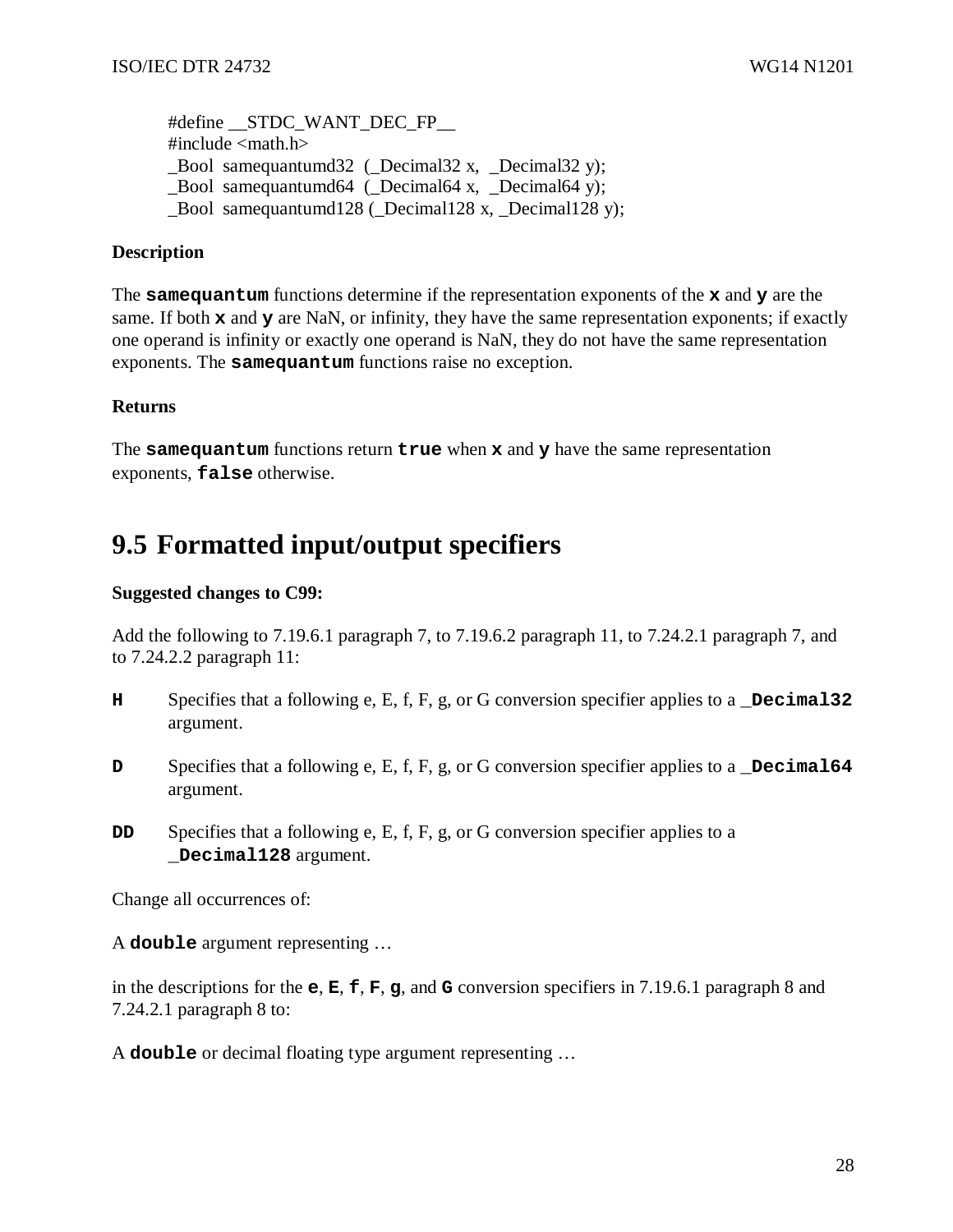#define STDC WANT DEC FP  $\#$ include  $\langle$ math.h $>$ Bool samequantumd32 ( $\Delta$ Decimal32 x, Decimal32 y); \_Bool samequantumd64 (\_Decimal64 x, \_Decimal64 y); Bool samequantumd $128$  (Decimal128 x, Decimal128 y);

#### **Description**

The **samequantum** functions determine if the representation exponents of the **x** and **y** are the same. If both **x** and **y** are NaN, or infinity, they have the same representation exponents; if exactly one operand is infinity or exactly one operand is NaN, they do not have the same representation exponents. The **samequantum** functions raise no exception.

#### **Returns**

The **samequantum** functions return **true** when **x** and **y** have the same representation exponents, **false** otherwise.

## **9.5 Formatted input/output specifiers**

#### **Suggested changes to C99:**

Add the following to 7.19.6.1 paragraph 7, to 7.19.6.2 paragraph 11, to 7.24.2.1 paragraph 7, and to 7.24.2.2 paragraph 11:

- **H** Specifies that a following e, E, f, F, g, or G conversion specifier applies to a **\_Decimal32** argument.
- **D** Specifies that a following e, E, f, F, g, or G conversion specifier applies to a **Decimal64** argument.
- **DD** Specifies that a following e, E, f, F, g, or G conversion specifier applies to a **\_Decimal128** argument.

Change all occurrences of:

A **double** argument representing …

in the descriptions for the **e**, **E**, **f**, **F**, **g**, and **G** conversion specifiers in 7.19.6.1 paragraph 8 and 7.24.2.1 paragraph 8 to:

A **double** or decimal floating type argument representing …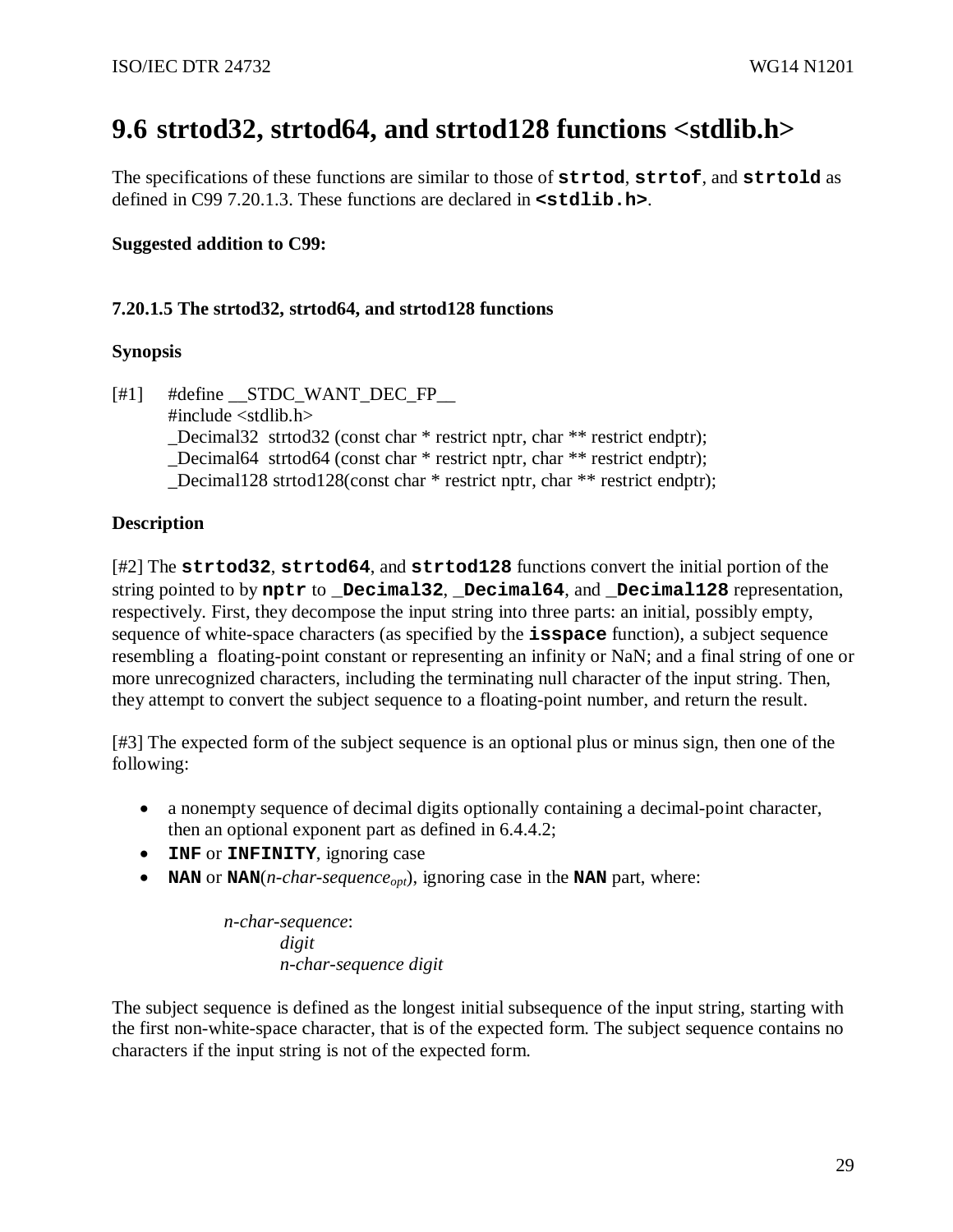# **9.6 strtod32, strtod64, and strtod128 functions <stdlib.h>**

The specifications of these functions are similar to those of **strtod**, **strtof**, and **strtold** as defined in C99 7.20.1.3. These functions are declared in **<stdlib.h>**.

### **Suggested addition to C99:**

### **7.20.1.5 The strtod32, strtod64, and strtod128 functions**

### **Synopsis**

 $[#1]$  #define STDC WANT DEC FP #include <stdlib.h> Decimal32 strtod32 (const char \* restrict nptr, char \*\* restrict endptr); \_Decimal64 strtod64 (const char \* restrict nptr, char \*\* restrict endptr); Decimal128 strtod128(const char  $*$  restrict nptr, char  $**$  restrict endptr);

### **Description**

[#2] The **strtod32**, **strtod64**, and **strtod128** functions convert the initial portion of the string pointed to by **nptr** to **\_Decimal32**, **\_Decimal64**, and **\_Decimal128** representation, respectively. First, they decompose the input string into three parts: an initial, possibly empty, sequence of white-space characters (as specified by the **isspace** function), a subject sequence resembling a floating-point constant or representing an infinity or NaN; and a final string of one or more unrecognized characters, including the terminating null character of the input string. Then, they attempt to convert the subject sequence to a floating-point number, and return the result.

[#3] The expected form of the subject sequence is an optional plus or minus sign, then one of the following:

- a nonempty sequence of decimal digits optionally containing a decimal-point character, then an optional exponent part as defined in 6.4.4.2;
- **INF** or **INFINITY**, ignoring case
- **NAN** or **NAN**( $n$ -char-sequence<sub>opt</sub>), ignoring case in the **NAN** part, where:

*n-char-sequence*: *digit n-char-sequence digit* 

The subject sequence is defined as the longest initial subsequence of the input string, starting with the first non-white-space character, that is of the expected form. The subject sequence contains no characters if the input string is not of the expected form.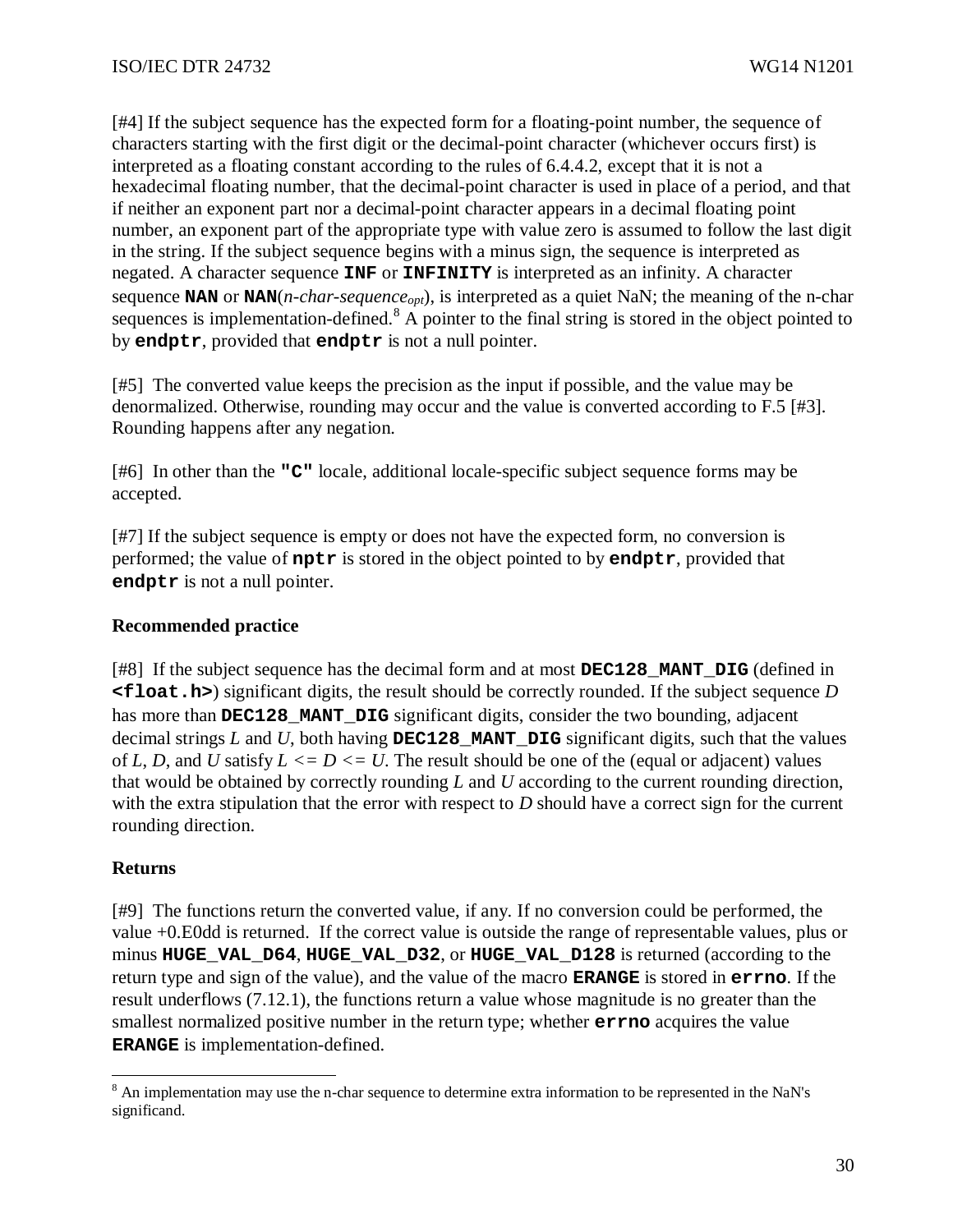[#4] If the subject sequence has the expected form for a floating-point number, the sequence of characters starting with the first digit or the decimal-point character (whichever occurs first) is interpreted as a floating constant according to the rules of 6.4.4.2, except that it is not a hexadecimal floating number, that the decimal-point character is used in place of a period, and that if neither an exponent part nor a decimal-point character appears in a decimal floating point number, an exponent part of the appropriate type with value zero is assumed to follow the last digit in the string. If the subject sequence begins with a minus sign, the sequence is interpreted as negated. A character sequence **INF** or **INFINITY** is interpreted as an infinity. A character sequence **NAN** or **NAN**(*n-char-sequenceopt*), is interpreted as a quiet NaN; the meaning of the n-char sequences is implementation-defined.<sup>8</sup> A pointer to the final string is stored in the object pointed to by **endptr**, provided that **endptr** is not a null pointer.

[#5] The converted value keeps the precision as the input if possible, and the value may be denormalized. Otherwise, rounding may occur and the value is converted according to F.5 [#3]. Rounding happens after any negation.

[#6] In other than the **"C"** locale, additional locale-specific subject sequence forms may be accepted.

[#7] If the subject sequence is empty or does not have the expected form, no conversion is performed; the value of **nptr** is stored in the object pointed to by **endptr**, provided that **endptr** is not a null pointer.

### **Recommended practice**

[#8] If the subject sequence has the decimal form and at most **DEC128\_MANT\_DIG** (defined in **<float.h>**) significant digits, the result should be correctly rounded. If the subject sequence *D* has more than **DEC128 MANT** DIG significant digits, consider the two bounding, adjacent decimal strings  $L$  and  $U$ , both having **DEC128** MANT **DIG** significant digits, such that the values of *L*, *D*, and *U* satisfy  $L \le D \le U$ . The result should be one of the (equal or adjacent) values that would be obtained by correctly rounding *L* and *U* according to the current rounding direction, with the extra stipulation that the error with respect to *D* should have a correct sign for the current rounding direction.

### **Returns**

[#9] The functions return the converted value, if any. If no conversion could be performed, the value +0.E0dd is returned. If the correct value is outside the range of representable values, plus or minus **HUGE\_VAL\_D64**, **HUGE\_VAL\_D32**, or **HUGE\_VAL\_D128** is returned (according to the return type and sign of the value), and the value of the macro **ERANGE** is stored in **errno**. If the result underflows (7.12.1), the functions return a value whose magnitude is no greater than the smallest normalized positive number in the return type; whether **errno** acquires the value **ERANGE** is implementation-defined.

<sup>&</sup>lt;sup>8</sup> An implementation may use the n-char sequence to determine extra information to be represented in the NaN's significand.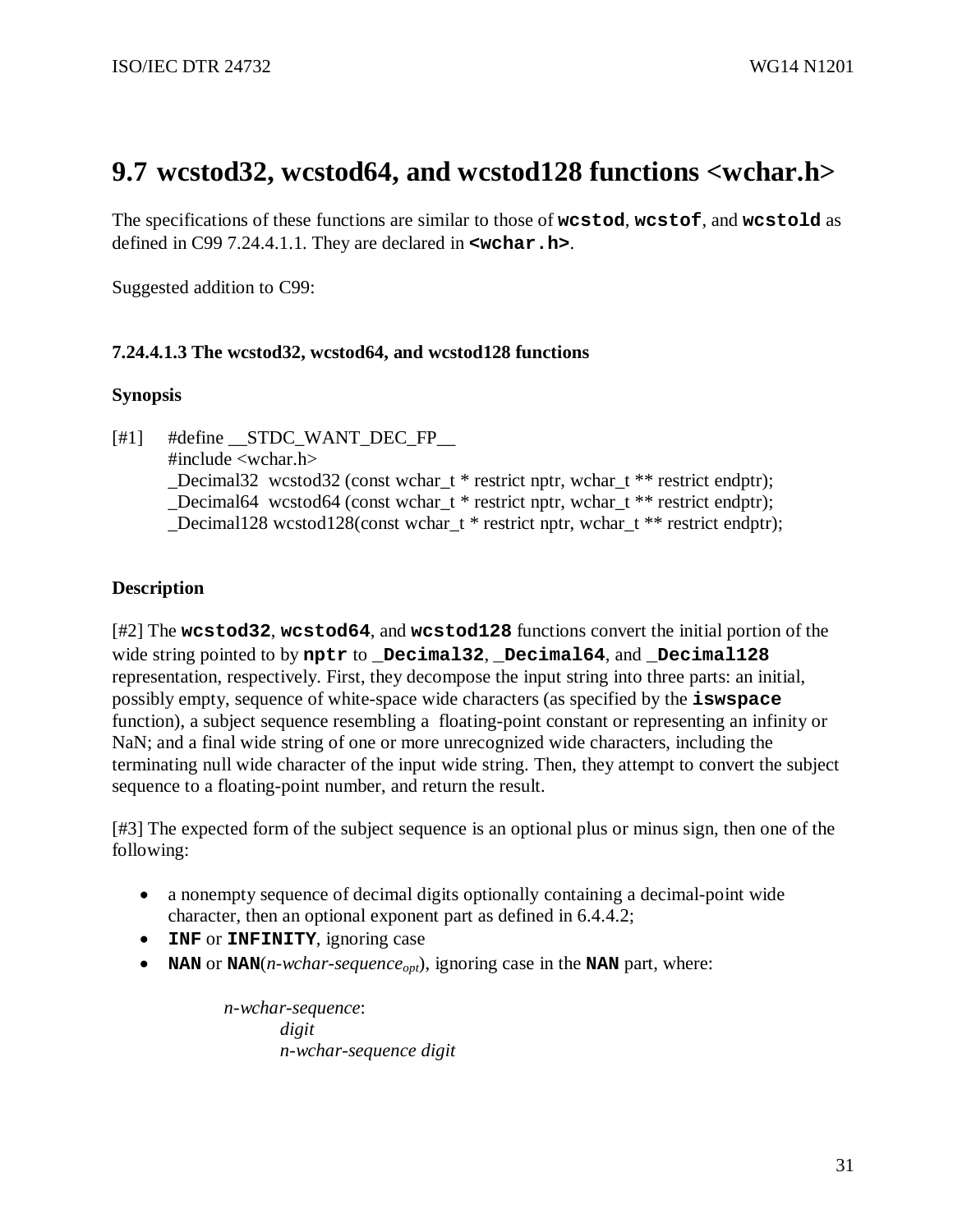## **9.7 wcstod32, wcstod64, and wcstod128 functions <wchar.h>**

The specifications of these functions are similar to those of **wcstod**, **wcstof**, and **wcstold** as defined in C99 7.24.4.1.1. They are declared in **<wchar.h>**.

Suggested addition to C99:

### **7.24.4.1.3 The wcstod32, wcstod64, and wcstod128 functions**

#### **Synopsis**

 $[#1]$  #define STDC WANT DEC FP #include <wchar.h> Decimal32 wcstod32 (const wchar  $t *$  restrict nptr, wchar  $t * *$  restrict endptr); \_Decimal64 wcstod64 (const wchar\_t \* restrict nptr, wchar\_t \*\* restrict endptr); Decimal128 wcstod128(const wchar  $t *$  restrict nptr, wchar  $t *$  restrict endptr);

### **Description**

[#2] The **wcstod32**, **wcstod64**, and **wcstod128** functions convert the initial portion of the wide string pointed to by **nptr** to **\_Decimal32**, **\_Decimal64**, and **\_Decimal128** representation, respectively. First, they decompose the input string into three parts: an initial, possibly empty, sequence of white-space wide characters (as specified by the **iswspace** function), a subject sequence resembling a floating-point constant or representing an infinity or NaN; and a final wide string of one or more unrecognized wide characters, including the terminating null wide character of the input wide string. Then, they attempt to convert the subject sequence to a floating-point number, and return the result.

[#3] The expected form of the subject sequence is an optional plus or minus sign, then one of the following:

- a nonempty sequence of decimal digits optionally containing a decimal-point wide character, then an optional exponent part as defined in 6.4.4.2;
- **INF** or **INFINITY**, ignoring case
- **NAN** or **NAN**( $n$ -wchar-sequence<sub>opt</sub>), ignoring case in the **NAN** part, where:

*n-wchar-sequence*: *digit n-wchar-sequence digit*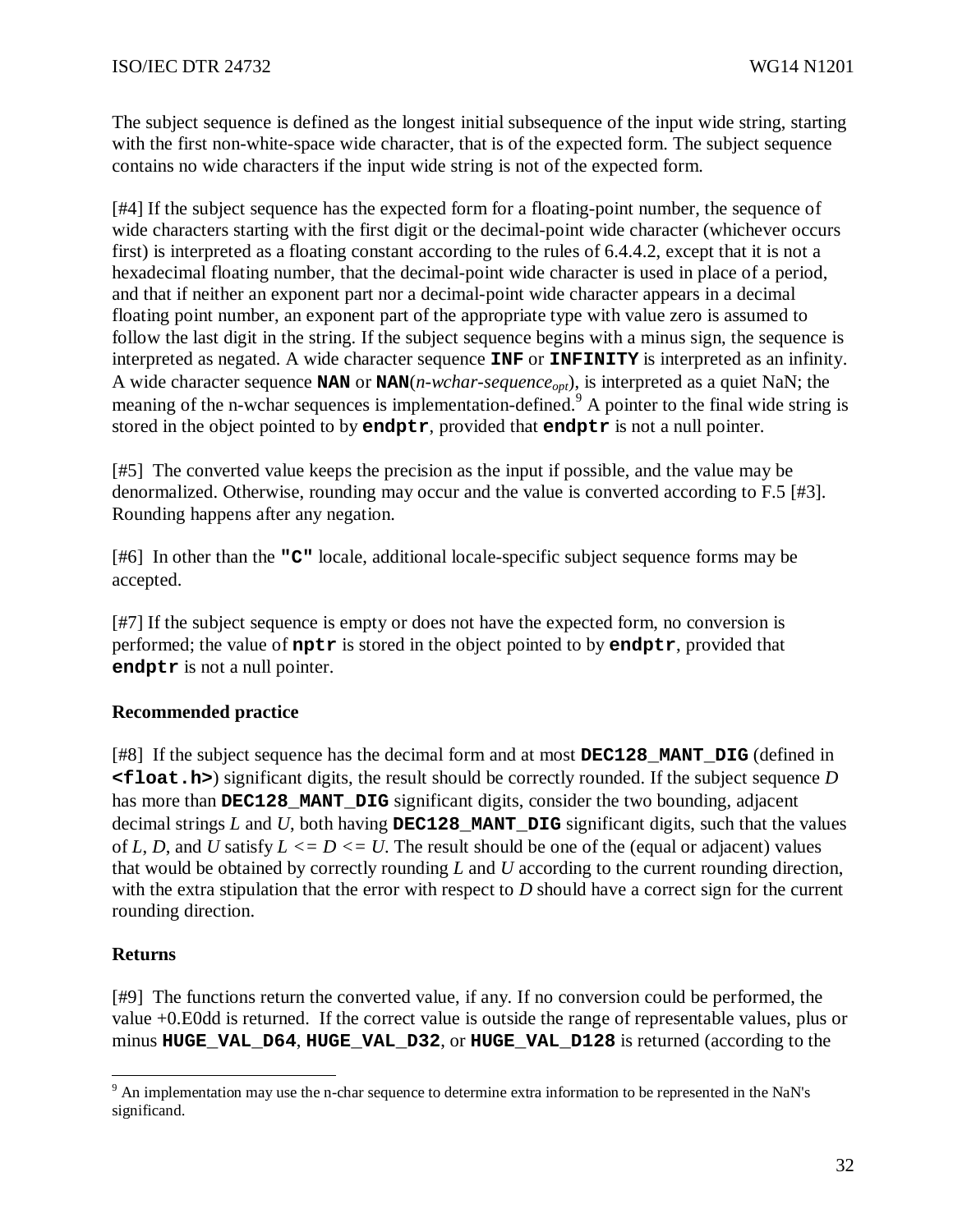The subject sequence is defined as the longest initial subsequence of the input wide string, starting with the first non-white-space wide character, that is of the expected form. The subject sequence contains no wide characters if the input wide string is not of the expected form.

[#4] If the subject sequence has the expected form for a floating-point number, the sequence of wide characters starting with the first digit or the decimal-point wide character (whichever occurs first) is interpreted as a floating constant according to the rules of 6.4.4.2, except that it is not a hexadecimal floating number, that the decimal-point wide character is used in place of a period, and that if neither an exponent part nor a decimal-point wide character appears in a decimal floating point number, an exponent part of the appropriate type with value zero is assumed to follow the last digit in the string. If the subject sequence begins with a minus sign, the sequence is interpreted as negated. A wide character sequence **INF** or **INFINITY** is interpreted as an infinity. A wide character sequence **NAN** or **NAN**(*n-wchar-sequenceopt*), is interpreted as a quiet NaN; the meaning of the n-wchar sequences is implementation-defined.<sup>9</sup> A pointer to the final wide string is stored in the object pointed to by **endptr**, provided that **endptr** is not a null pointer.

[#5] The converted value keeps the precision as the input if possible, and the value may be denormalized. Otherwise, rounding may occur and the value is converted according to F.5 [#3]. Rounding happens after any negation.

[#6] In other than the **"C"** locale, additional locale-specific subject sequence forms may be accepted.

[#7] If the subject sequence is empty or does not have the expected form, no conversion is performed; the value of **nptr** is stored in the object pointed to by **endptr**, provided that **endptr** is not a null pointer.

### **Recommended practice**

[#8] If the subject sequence has the decimal form and at most **DEC128\_MANT\_DIG** (defined in **<float.h>**) significant digits, the result should be correctly rounded. If the subject sequence *D* has more than **DEC128\_MANT\_DIG** significant digits, consider the two bounding, adjacent decimal strings *L* and *U*, both having **DEC128\_MANT\_DIG** significant digits, such that the values of *L*, *D*, and *U* satisfy  $L \le D \le U$ . The result should be one of the (equal or adjacent) values that would be obtained by correctly rounding *L* and *U* according to the current rounding direction, with the extra stipulation that the error with respect to *D* should have a correct sign for the current rounding direction.

### **Returns**

[#9] The functions return the converted value, if any. If no conversion could be performed, the value +0.E0dd is returned. If the correct value is outside the range of representable values, plus or minus **HUGE\_VAL\_D64**, **HUGE\_VAL\_D32**, or **HUGE\_VAL\_D128** is returned (according to the

<sup>&</sup>lt;sup>9</sup> An implementation may use the n-char sequence to determine extra information to be represented in the NaN's significand.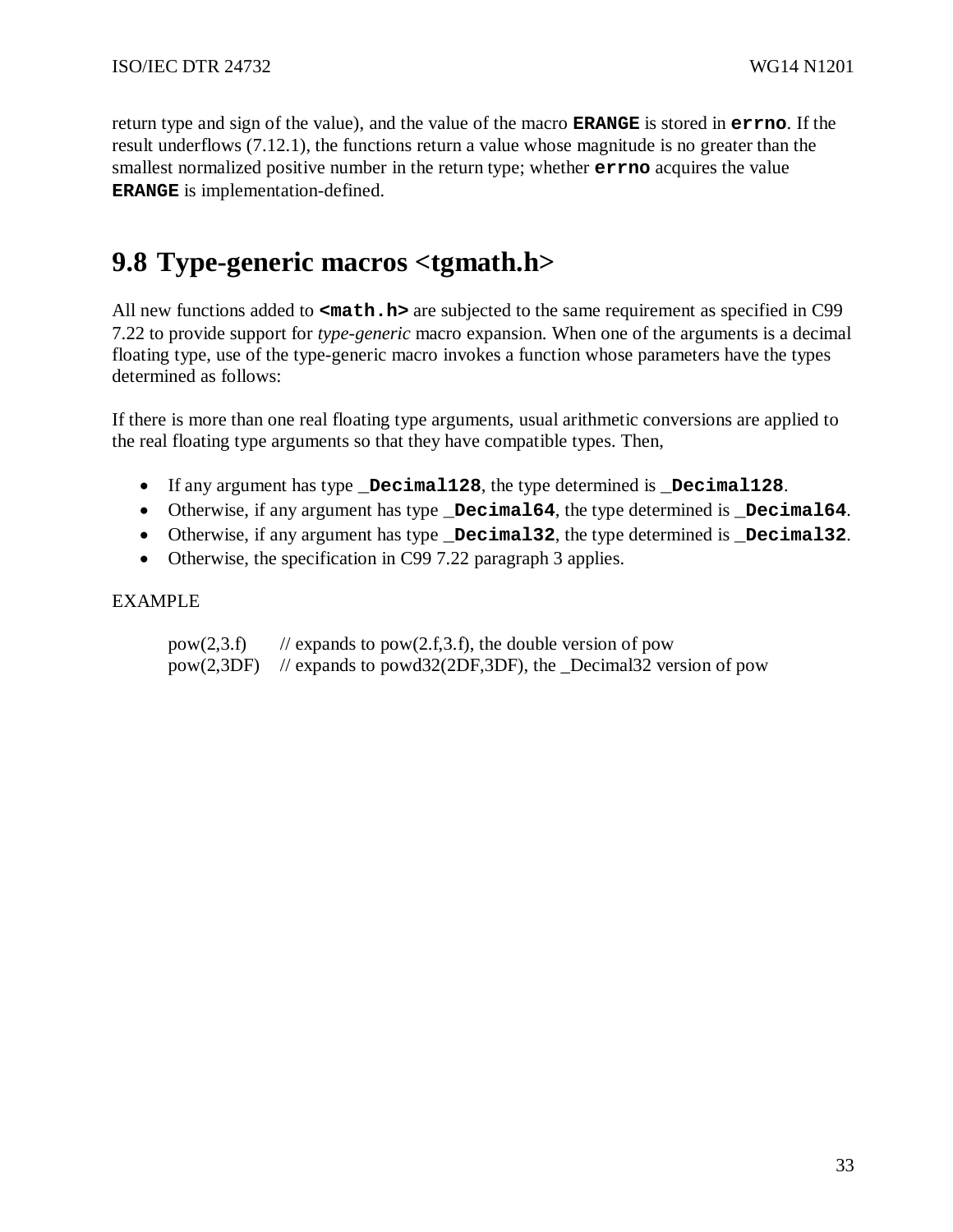return type and sign of the value), and the value of the macro **ERANGE** is stored in **errno**. If the result underflows (7.12.1), the functions return a value whose magnitude is no greater than the smallest normalized positive number in the return type; whether **errno** acquires the value **ERANGE** is implementation-defined.

# **9.8 Type-generic macros <tgmath.h>**

All new functions added to  $\langle \text{match}, \text{h}\rangle$  are subjected to the same requirement as specified in C99 7.22 to provide support for *type-generic* macro expansion. When one of the arguments is a decimal floating type, use of the type-generic macro invokes a function whose parameters have the types determined as follows:

If there is more than one real floating type arguments, usual arithmetic conversions are applied to the real floating type arguments so that they have compatible types. Then,

- If any argument has type **\_Decimal128**, the type determined is **\_Decimal128**.
- Otherwise, if any argument has type **\_Decimal64**, the type determined is **\_Decimal64**.
- Otherwise, if any argument has type **\_Decimal32**, the type determined is **\_Decimal32**.
- Otherwise, the specification in C99 7.22 paragraph 3 applies.

### EXAMPLE

pow(2,3.f) // expands to pow(2.f,3.f), the double version of pow pow(2,3DF) // expands to powd32(2DF,3DF), the \_Decimal32 version of pow